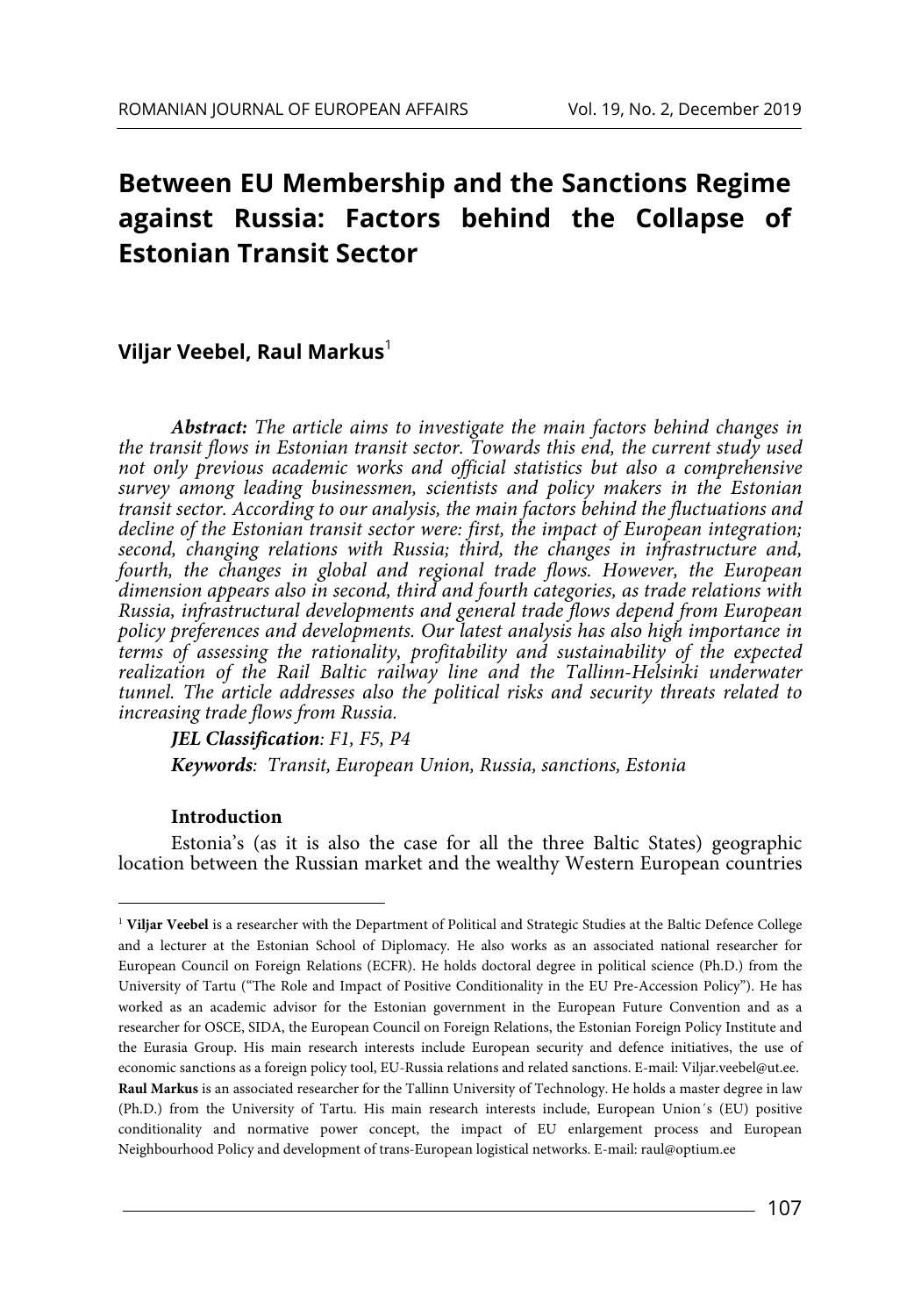# **Between EU Membership and the Sanctions Regime against Russia: Factors behind the Collapse of Estonian Transit Sector**

# **Viljar Veebel, Raul Markus**<sup>1</sup>

*Abstract: The article aims to investigate the main factors behind changes in the transit flows in Estonian transit sector. Towards this end, the current study used not only previous academic works and official statistics but also a comprehensive survey among leading businessmen, scientists and policy makers in the Estonian transit sector. According to our analysis, the main factors behind the fluctuations and decline of the Estonian transit sector were: first, the impact of European integration; second, changing relations with Russia; third, the changes in infrastructure and, fourth, the changes in global and regional trade flows. However, the European dimension appears also in second, third and fourth categories, as trade relations with Russia, infrastructural developments and general trade flows depend from European policy preferences and developments. Our latest analysis has also high importance in terms of assessing the rationality, profitability and sustainability of the expected realization of the Rail Baltic railway line and the Tallinn-Helsinki underwater tunnel. The article addresses also the political risks and security threats related to increasing trade flows from Russia.* 

*JEL Classification: F1, F5, P4 Keywords: Transit, European Union, Russia, sanctions, Estonia* 

# **Introduction**

Estonia's (as it is also the case for all the three Baltic States) geographic location between the Russian market and the wealthy Western European countries

<sup>&</sup>lt;sup>1</sup> Viljar Veebel is a researcher with the Department of Political and Strategic Studies at the Baltic Defence College and a lecturer at the Estonian School of Diplomacy. He also works as an associated national researcher for European Council on Foreign Relations (ECFR). He holds doctoral degree in political science (Ph.D.) from the University of Tartu ("The Role and Impact of Positive Conditionality in the EU Pre-Accession Policy"). He has worked as an academic advisor for the Estonian government in the European Future Convention and as a researcher for OSCE, SIDA, the European Council on Foreign Relations, the Estonian Foreign Policy Institute and the Eurasia Group. His main research interests include European security and defence initiatives, the use of economic sanctions as a foreign policy tool, EU-Russia relations and related sanctions. E-mail: Viljar.veebel@ut.ee. **Raul Markus** is an associated researcher for the Tallinn University of Technology. He holds a master degree in law (Ph.D.) from the University of Tartu. His main research interests include, European Union´s (EU) positive conditionality and normative power concept, the impact of EU enlargement process and European Neighbourhood Policy and development of trans-European logistical networks. E-mail: raul@optium.ee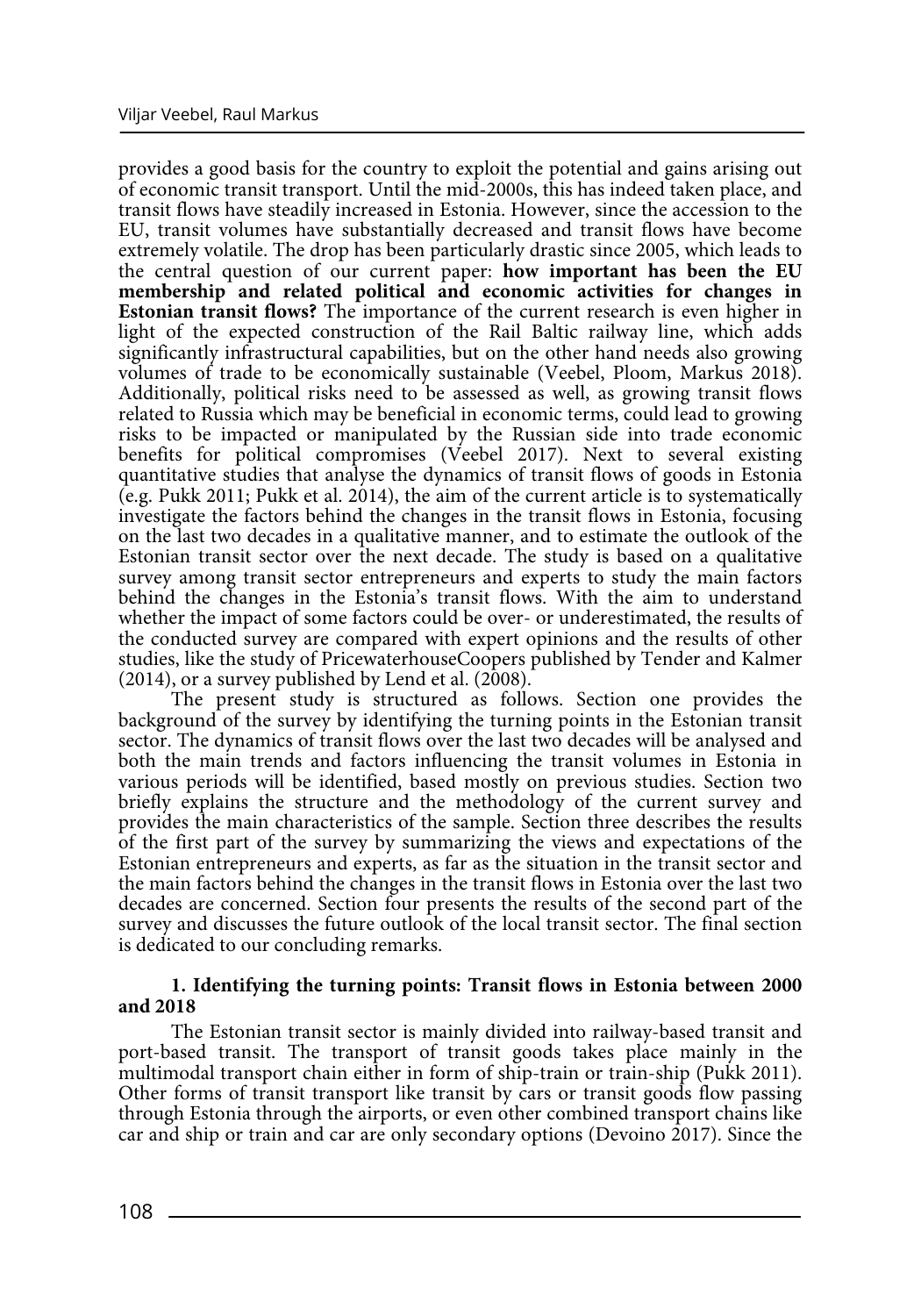provides a good basis for the country to exploit the potential and gains arising out of economic transit transport. Until the mid-2000s, this has indeed taken place, and transit flows have steadily increased in Estonia. However, since the accession to the EU, transit volumes have substantially decreased and transit flows have become extremely volatile. The drop has been particularly drastic since 2005, which leads to the central question of our current paper: **how important has been the EU membership and related political and economic activities for changes in Estonian transit flows?** The importance of the current research is even higher in light of the expected construction of the Rail Baltic railway line, which adds significantly infrastructural capabilities, but on the other hand needs also growing volumes of trade to be economically sustainable (Veebel, Ploom, Markus 2018). Additionally, political risks need to be assessed as well, as growing transit flows related to Russia which may be beneficial in economic terms, could lead to growing risks to be impacted or manipulated by the Russian side into trade economic benefits for political compromises (Veebel 2017). Next to several existing quantitative studies that analyse the dynamics of transit flows of goods in Estonia (e.g. Pukk 2011; Pukk et al. 2014), the aim of the current article is to systematically investigate the factors behind the changes in the transit flows in Estonia, focusing on the last two decades in a qualitative manner, and to estimate the outlook of the Estonian transit sector over the next decade. The study is based on a qualitative survey among transit sector entrepreneurs and experts to study the main factors behind the changes in the Estonia's transit flows. With the aim to understand whether the impact of some factors could be over- or underestimated, the results of the conducted survey are compared with expert opinions and the results of other studies, like the study of PricewaterhouseCoopers published by Tender and Kalmer (2014), or a survey published by Lend et al. (2008).

The present study is structured as follows. Section one provides the background of the survey by identifying the turning points in the Estonian transit sector. The dynamics of transit flows over the last two decades will be analysed and both the main trends and factors influencing the transit volumes in Estonia in various periods will be identified, based mostly on previous studies. Section two briefly explains the structure and the methodology of the current survey and provides the main characteristics of the sample. Section three describes the results of the first part of the survey by summarizing the views and expectations of the Estonian entrepreneurs and experts, as far as the situation in the transit sector and the main factors behind the changes in the transit flows in Estonia over the last two decades are concerned. Section four presents the results of the second part of the survey and discusses the future outlook of the local transit sector. The final section is dedicated to our concluding remarks.

# **1. Identifying the turning points: Transit flows in Estonia between 2000 and 2018**

The Estonian transit sector is mainly divided into railway-based transit and port-based transit. The transport of transit goods takes place mainly in the multimodal transport chain either in form of ship-train or train-ship (Pukk 2011). Other forms of transit transport like transit by cars or transit goods flow passing through Estonia through the airports, or even other combined transport chains like car and ship or train and car are only secondary options (Devoino 2017). Since the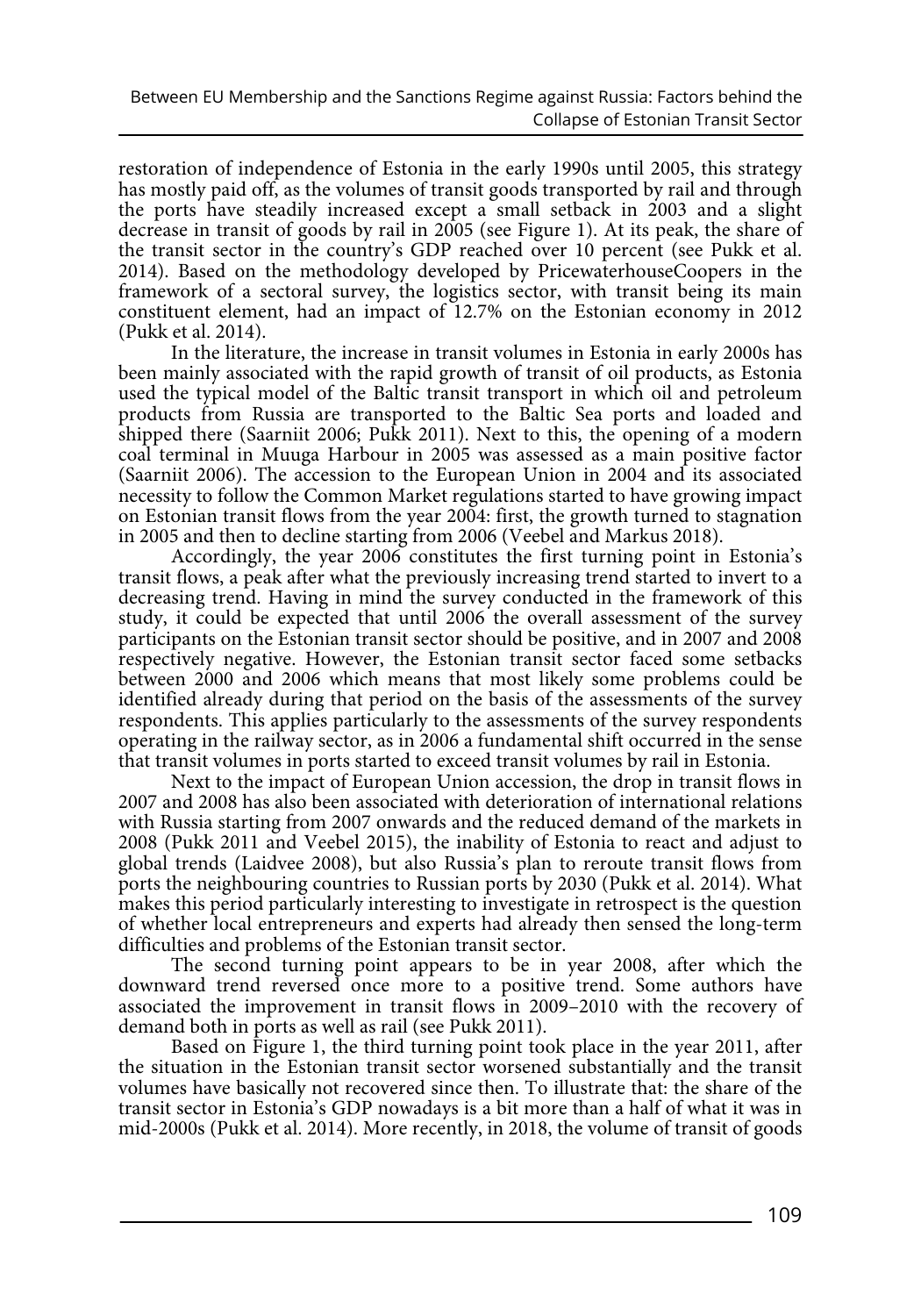restoration of independence of Estonia in the early 1990s until 2005, this strategy has mostly paid off, as the volumes of transit goods transported by rail and through the ports have steadily increased except a small setback in 2003 and a slight decrease in transit of goods by rail in 2005 (see Figure 1). At its peak, the share of the transit sector in the country's GDP reached over 10 percent (see Pukk et al. 2014). Based on the methodology developed by PricewaterhouseCoopers in the framework of a sectoral survey, the logistics sector, with transit being its main constituent element, had an impact of 12.7% on the Estonian economy in 2012 (Pukk et al. 2014).

In the literature, the increase in transit volumes in Estonia in early 2000s has been mainly associated with the rapid growth of transit of oil products, as Estonia used the typical model of the Baltic transit transport in which oil and petroleum products from Russia are transported to the Baltic Sea ports and loaded and shipped there (Saarniit 2006; Pukk 2011). Next to this, the opening of a modern coal terminal in Muuga Harbour in 2005 was assessed as a main positive factor (Saarniit 2006). The accession to the European Union in 2004 and its associated necessity to follow the Common Market regulations started to have growing impact on Estonian transit flows from the year 2004: first, the growth turned to stagnation in 2005 and then to decline starting from 2006 (Veebel and Markus 2018).

Accordingly, the year 2006 constitutes the first turning point in Estonia's transit flows, a peak after what the previously increasing trend started to invert to a decreasing trend. Having in mind the survey conducted in the framework of this study, it could be expected that until 2006 the overall assessment of the survey participants on the Estonian transit sector should be positive, and in 2007 and 2008 respectively negative. However, the Estonian transit sector faced some setbacks between 2000 and 2006 which means that most likely some problems could be identified already during that period on the basis of the assessments of the survey respondents. This applies particularly to the assessments of the survey respondents operating in the railway sector, as in 2006 a fundamental shift occurred in the sense that transit volumes in ports started to exceed transit volumes by rail in Estonia.

Next to the impact of European Union accession, the drop in transit flows in 2007 and 2008 has also been associated with deterioration of international relations with Russia starting from 2007 onwards and the reduced demand of the markets in 2008 (Pukk 2011 and Veebel 2015), the inability of Estonia to react and adjust to global trends (Laidvee 2008), but also Russia's plan to reroute transit flows from ports the neighbouring countries to Russian ports by 2030 (Pukk et al. 2014). What makes this period particularly interesting to investigate in retrospect is the question of whether local entrepreneurs and experts had already then sensed the long-term difficulties and problems of the Estonian transit sector.

The second turning point appears to be in year 2008, after which the downward trend reversed once more to a positive trend. Some authors have associated the improvement in transit flows in 2009–2010 with the recovery of demand both in ports as well as rail (see Pukk 2011).

Based on Figure 1, the third turning point took place in the year 2011, after the situation in the Estonian transit sector worsened substantially and the transit volumes have basically not recovered since then. To illustrate that: the share of the transit sector in Estonia's GDP nowadays is a bit more than a half of what it was in mid-2000s (Pukk et al. 2014). More recently, in 2018, the volume of transit of goods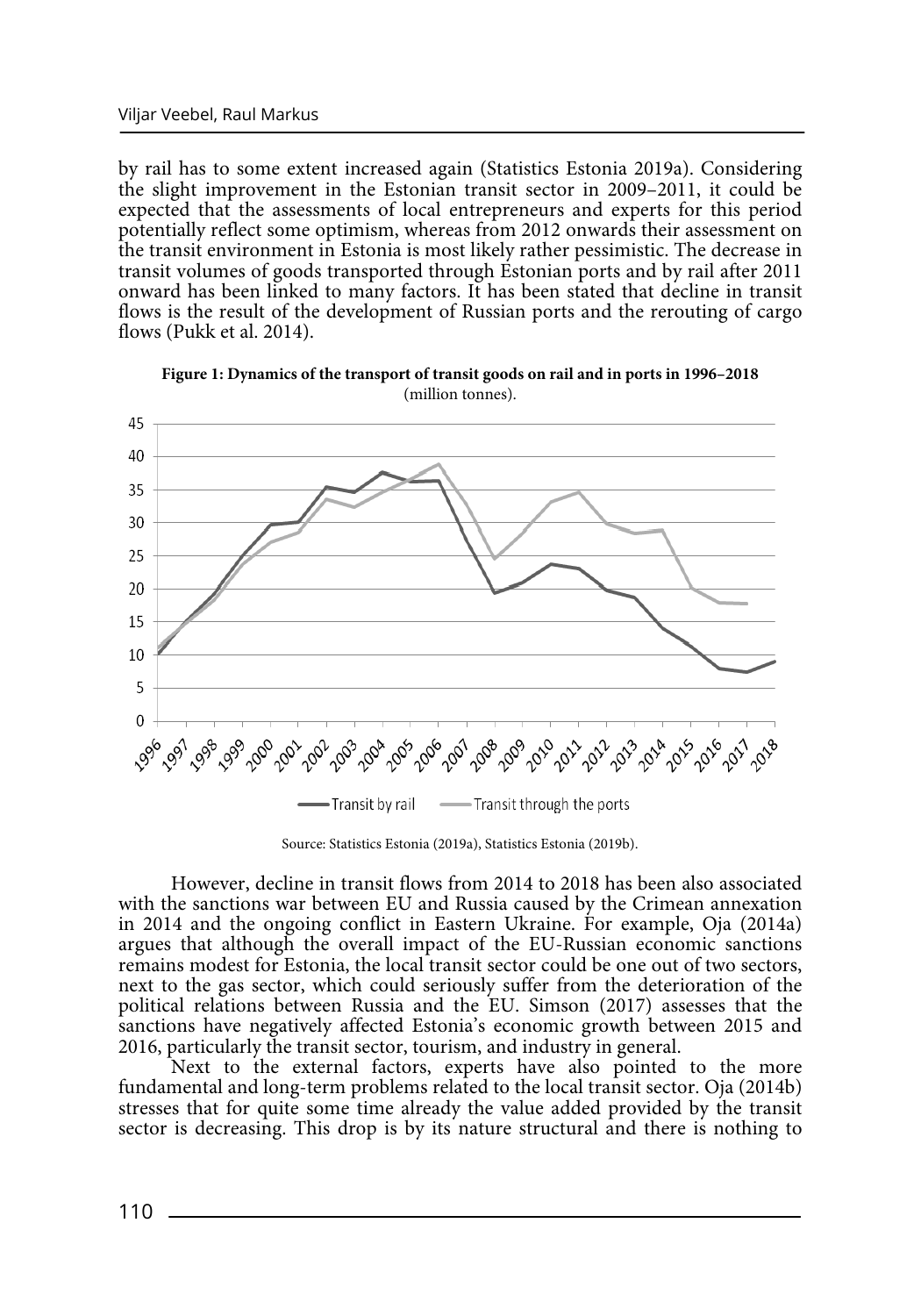by rail has to some extent increased again (Statistics Estonia 2019a). Considering the slight improvement in the Estonian transit sector in 2009–2011, it could be expected that the assessments of local entrepreneurs and experts for this period potentially reflect some optimism, whereas from 2012 onwards their assessment on the transit environment in Estonia is most likely rather pessimistic. The decrease in transit volumes of goods transported through Estonian ports and by rail after 2011 onward has been linked to many factors. It has been stated that decline in transit flows is the result of the development of Russian ports and the rerouting of cargo flows (Pukk et al. 2014).



**Figure 1: Dynamics of the transport of transit goods on rail and in ports in 1996–2018**  (million tonnes).

Source: Statistics Estonia (2019a), Statistics Estonia (2019b).

However, decline in transit flows from 2014 to 2018 has been also associated with the sanctions war between EU and Russia caused by the Crimean annexation in 2014 and the ongoing conflict in Eastern Ukraine. For example, Oja (2014a) argues that although the overall impact of the EU-Russian economic sanctions remains modest for Estonia, the local transit sector could be one out of two sectors, next to the gas sector, which could seriously suffer from the deterioration of the political relations between Russia and the EU. Simson (2017) assesses that the sanctions have negatively affected Estonia's economic growth between 2015 and 2016, particularly the transit sector, tourism, and industry in general.

Next to the external factors, experts have also pointed to the more fundamental and long-term problems related to the local transit sector. Oja (2014b) stresses that for quite some time already the value added provided by the transit sector is decreasing. This drop is by its nature structural and there is nothing to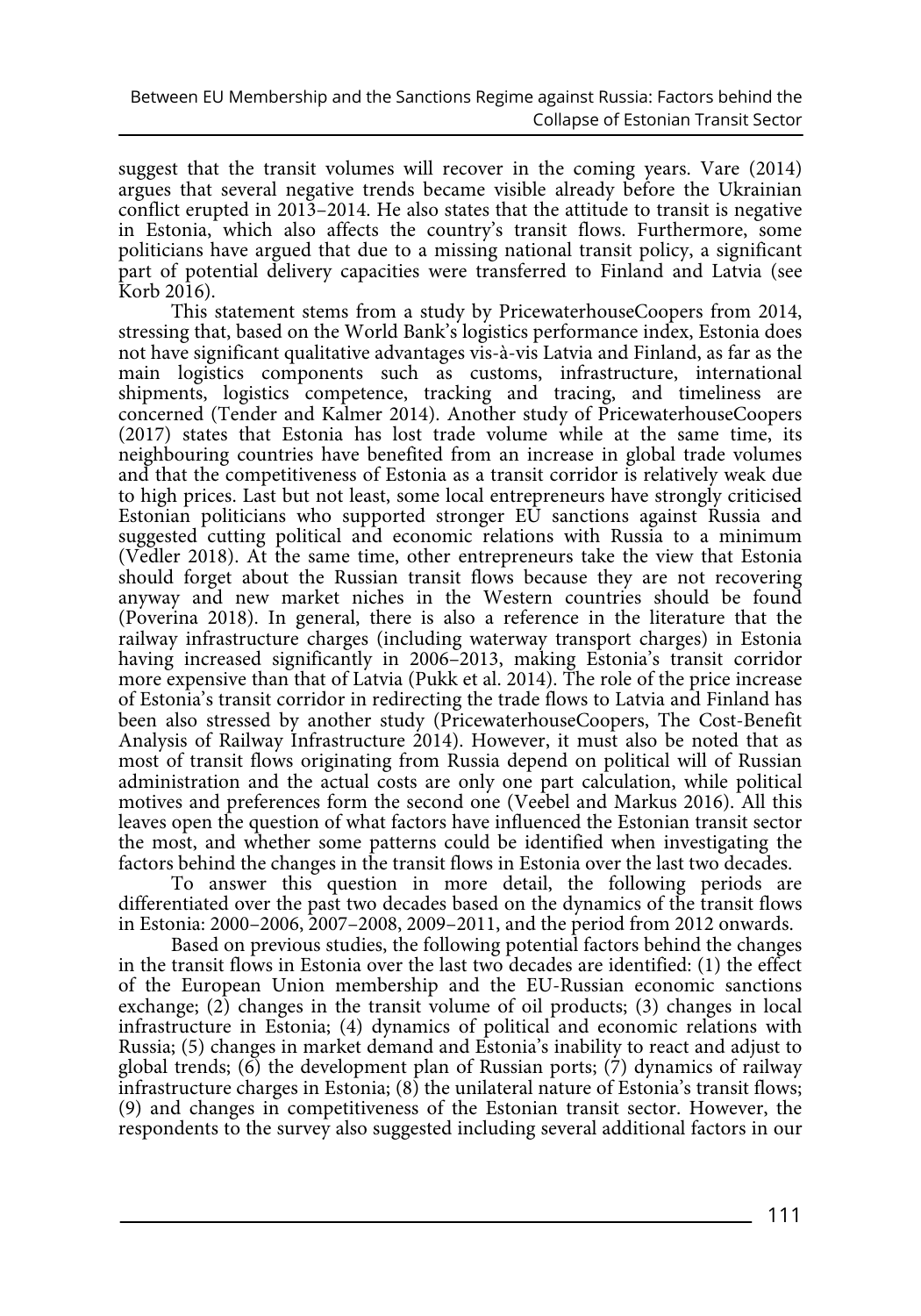suggest that the transit volumes will recover in the coming years. Vare (2014) argues that several negative trends became visible already before the Ukrainian conflict erupted in 2013–2014. He also states that the attitude to transit is negative in Estonia, which also affects the country's transit flows. Furthermore, some politicians have argued that due to a missing national transit policy, a significant part of potential delivery capacities were transferred to Finland and Latvia (see Korb 2016).

This statement stems from a study by PricewaterhouseCoopers from 2014, stressing that, based on the World Bank's logistics performance index, Estonia does not have significant qualitative advantages vis-à-vis Latvia and Finland, as far as the main logistics components such as customs, infrastructure, international shipments, logistics competence, tracking and tracing, and timeliness are concerned (Tender and Kalmer 2014). Another study of PricewaterhouseCoopers (2017) states that Estonia has lost trade volume while at the same time, its neighbouring countries have benefited from an increase in global trade volumes and that the competitiveness of Estonia as a transit corridor is relatively weak due to high prices. Last but not least, some local entrepreneurs have strongly criticised Estonian politicians who supported stronger EU sanctions against Russia and suggested cutting political and economic relations with Russia to a minimum (Vedler 2018). At the same time, other entrepreneurs take the view that Estonia should forget about the Russian transit flows because they are not recovering anyway and new market niches in the Western countries should be found (Poverina 2018). In general, there is also a reference in the literature that the railway infrastructure charges (including waterway transport charges) in Estonia having increased significantly in 2006–2013, making Estonia's transit corridor more expensive than that of Latvia (Pukk et al. 2014). The role of the price increase of Estonia's transit corridor in redirecting the trade flows to Latvia and Finland has been also stressed by another study (PricewaterhouseCoopers, The Cost-Benefit Analysis of Railway Infrastructure 2014). However, it must also be noted that as most of transit flows originating from Russia depend on political will of Russian administration and the actual costs are only one part calculation, while political motives and preferences form the second one (Veebel and Markus 2016). All this leaves open the question of what factors have influenced the Estonian transit sector the most, and whether some patterns could be identified when investigating the factors behind the changes in the transit flows in Estonia over the last two decades.

To answer this question in more detail, the following periods are differentiated over the past two decades based on the dynamics of the transit flows in Estonia: 2000–2006, 2007–2008, 2009–2011, and the period from 2012 onwards.

Based on previous studies, the following potential factors behind the changes in the transit flows in Estonia over the last two decades are identified: (1) the effect of the European Union membership and the EU-Russian economic sanctions exchange; (2) changes in the transit volume of oil products; (3) changes in local infrastructure in Estonia; (4) dynamics of political and economic relations with Russia; (5) changes in market demand and Estonia's inability to react and adjust to global trends; (6) the development plan of Russian ports; (7) dynamics of railway infrastructure charges in Estonia;  $(8)$  the unilateral nature of Estonia's transit flows; (9) and changes in competitiveness of the Estonian transit sector. However, the respondents to the survey also suggested including several additional factors in our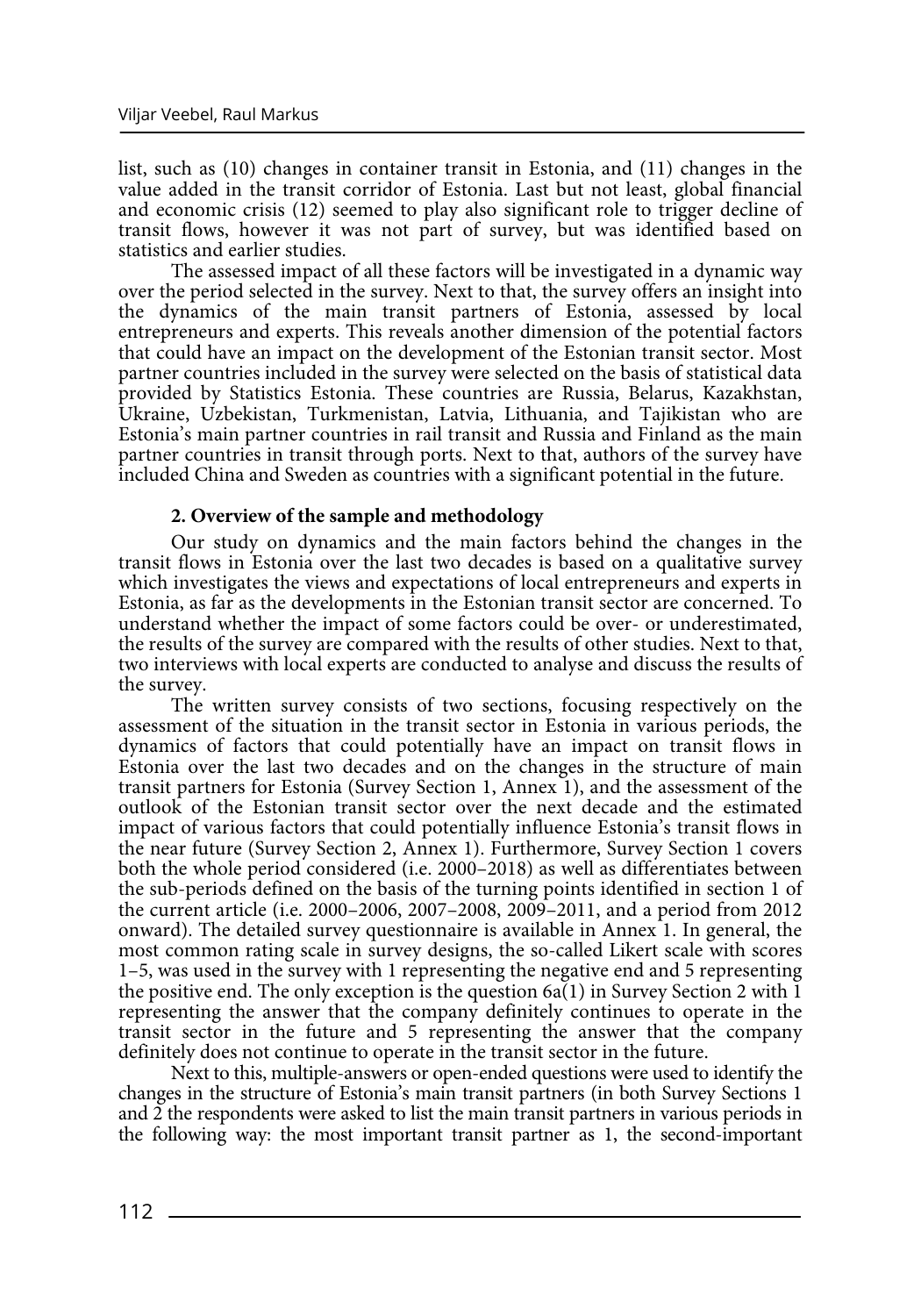list, such as (10) changes in container transit in Estonia, and (11) changes in the value added in the transit corridor of Estonia. Last but not least, global financial and economic crisis (12) seemed to play also significant role to trigger decline of transit flows, however it was not part of survey, but was identified based on statistics and earlier studies.

The assessed impact of all these factors will be investigated in a dynamic way over the period selected in the survey. Next to that, the survey offers an insight into the dynamics of the main transit partners of Estonia, assessed by local entrepreneurs and experts. This reveals another dimension of the potential factors that could have an impact on the development of the Estonian transit sector. Most partner countries included in the survey were selected on the basis of statistical data provided by Statistics Estonia. These countries are Russia, Belarus, Kazakhstan, Ukraine, Uzbekistan, Turkmenistan, Latvia, Lithuania, and Tajikistan who are Estonia's main partner countries in rail transit and Russia and Finland as the main partner countries in transit through ports. Next to that, authors of the survey have included China and Sweden as countries with a significant potential in the future.

## **2. Overview of the sample and methodology**

Our study on dynamics and the main factors behind the changes in the transit flows in Estonia over the last two decades is based on a qualitative survey which investigates the views and expectations of local entrepreneurs and experts in Estonia, as far as the developments in the Estonian transit sector are concerned. To understand whether the impact of some factors could be over- or underestimated, the results of the survey are compared with the results of other studies. Next to that, two interviews with local experts are conducted to analyse and discuss the results of the survey.

The written survey consists of two sections, focusing respectively on the assessment of the situation in the transit sector in Estonia in various periods, the dynamics of factors that could potentially have an impact on transit flows in Estonia over the last two decades and on the changes in the structure of main transit partners for Estonia (Survey Section 1, Annex 1), and the assessment of the outlook of the Estonian transit sector over the next decade and the estimated impact of various factors that could potentially influence Estonia's transit flows in the near future (Survey Section 2, Annex 1). Furthermore, Survey Section 1 covers both the whole period considered (i.e. 2000–2018) as well as differentiates between the sub-periods defined on the basis of the turning points identified in section 1 of the current article (i.e. 2000–2006, 2007–2008, 2009–2011, and a period from 2012 onward). The detailed survey questionnaire is available in Annex 1. In general, the most common rating scale in survey designs, the so-called Likert scale with scores 1–5, was used in the survey with 1 representing the negative end and 5 representing the positive end. The only exception is the question  $6a(1)$  in Survey Section 2 with 1 representing the answer that the company definitely continues to operate in the transit sector in the future and 5 representing the answer that the company definitely does not continue to operate in the transit sector in the future.

Next to this, multiple-answers or open-ended questions were used to identify the changes in the structure of Estonia's main transit partners (in both Survey Sections 1 and 2 the respondents were asked to list the main transit partners in various periods in the following way: the most important transit partner as 1, the second-important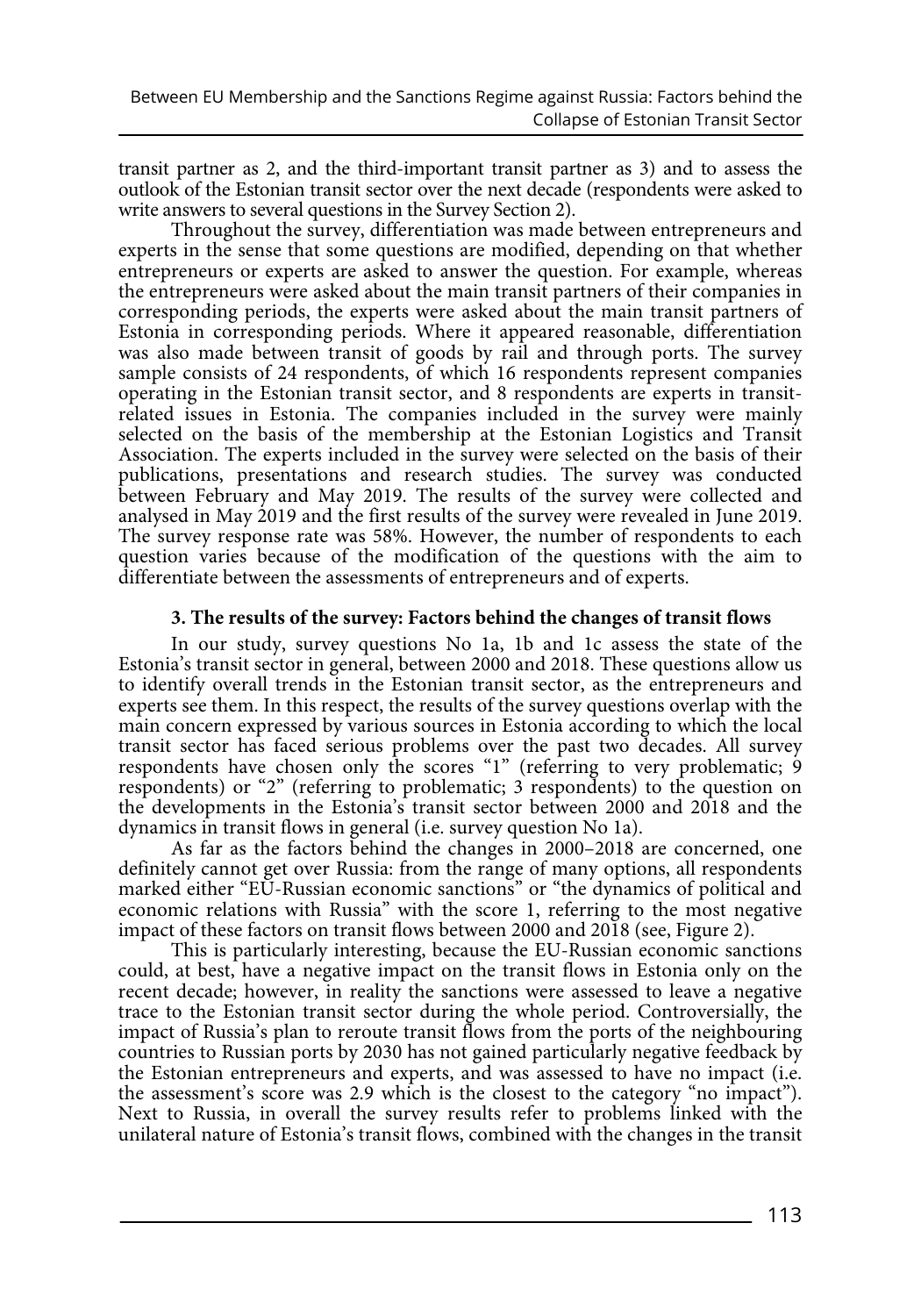transit partner as 2, and the third-important transit partner as 3) and to assess the outlook of the Estonian transit sector over the next decade (respondents were asked to write answers to several questions in the Survey Section 2).

Throughout the survey, differentiation was made between entrepreneurs and experts in the sense that some questions are modified, depending on that whether entrepreneurs or experts are asked to answer the question. For example, whereas the entrepreneurs were asked about the main transit partners of their companies in corresponding periods, the experts were asked about the main transit partners of Estonia in corresponding periods. Where it appeared reasonable, differentiation was also made between transit of goods by rail and through ports. The survey sample consists of 24 respondents, of which 16 respondents represent companies operating in the Estonian transit sector, and 8 respondents are experts in transitrelated issues in Estonia. The companies included in the survey were mainly selected on the basis of the membership at the Estonian Logistics and Transit Association. The experts included in the survey were selected on the basis of their publications, presentations and research studies. The survey was conducted between February and May 2019. The results of the survey were collected and analysed in May 2019 and the first results of the survey were revealed in June 2019. The survey response rate was 58%. However, the number of respondents to each question varies because of the modification of the questions with the aim to differentiate between the assessments of entrepreneurs and of experts.

# **3. The results of the survey: Factors behind the changes of transit flows**

In our study, survey questions No 1a, 1b and 1c assess the state of the Estonia's transit sector in general, between 2000 and 2018. These questions allow us to identify overall trends in the Estonian transit sector, as the entrepreneurs and experts see them. In this respect, the results of the survey questions overlap with the main concern expressed by various sources in Estonia according to which the local transit sector has faced serious problems over the past two decades. All survey respondents have chosen only the scores "1" (referring to very problematic; 9 respondents) or "2" (referring to problematic; 3 respondents) to the question on the developments in the Estonia's transit sector between 2000 and 2018 and the dynamics in transit flows in general (i.e. survey question No 1a).

As far as the factors behind the changes in 2000–2018 are concerned, one definitely cannot get over Russia: from the range of many options, all respondents marked either "EU-Russian economic sanctions" or "the dynamics of political and economic relations with Russia" with the score 1, referring to the most negative impact of these factors on transit flows between 2000 and 2018 (see, Figure 2).

This is particularly interesting, because the EU-Russian economic sanctions could, at best, have a negative impact on the transit flows in Estonia only on the recent decade; however, in reality the sanctions were assessed to leave a negative trace to the Estonian transit sector during the whole period. Controversially, the impact of Russia's plan to reroute transit flows from the ports of the neighbouring countries to Russian ports by 2030 has not gained particularly negative feedback by the Estonian entrepreneurs and experts, and was assessed to have no impact (i.e. the assessment's score was 2.9 which is the closest to the category "no impact"). Next to Russia, in overall the survey results refer to problems linked with the unilateral nature of Estonia's transit flows, combined with the changes in the transit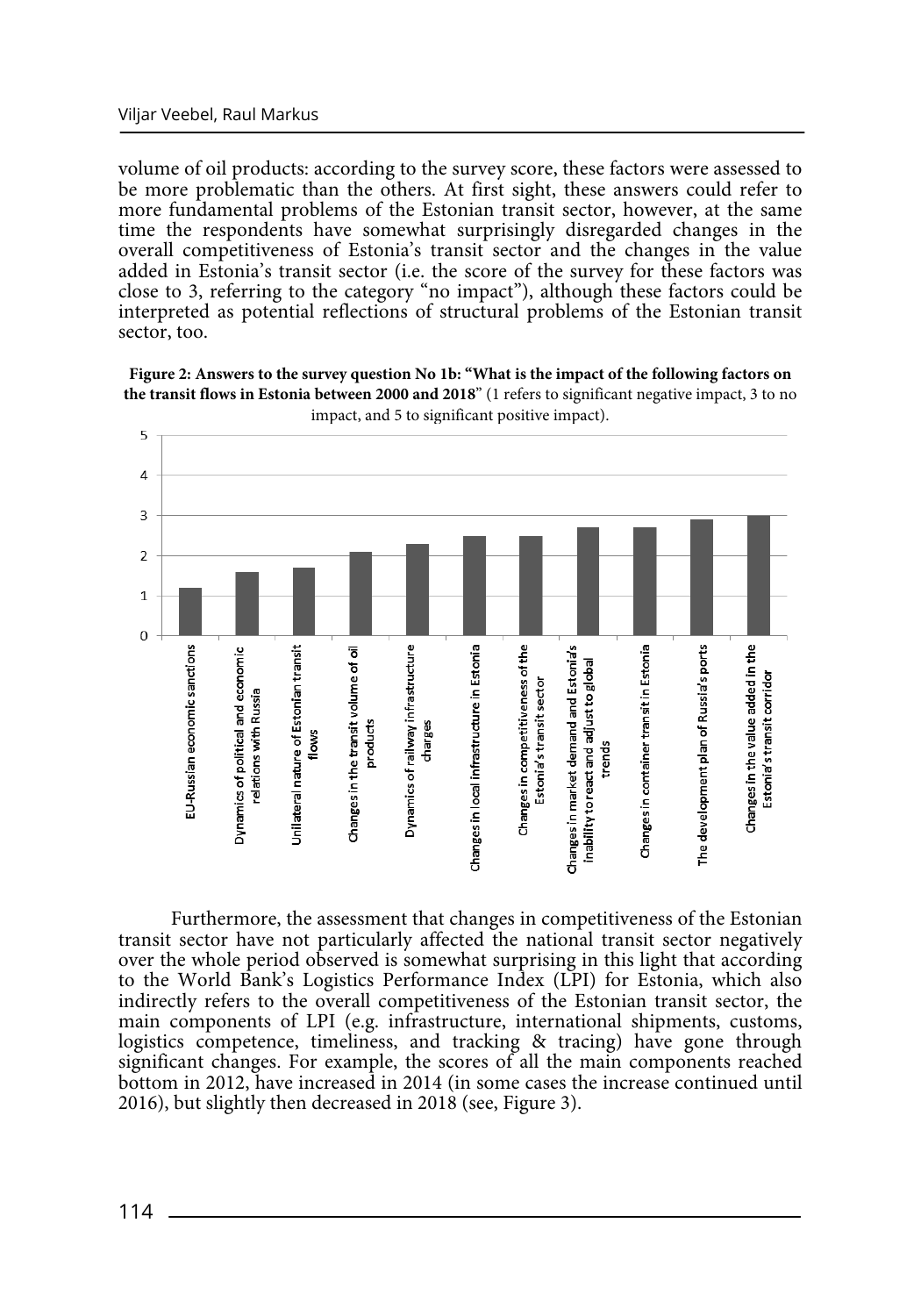volume of oil products: according to the survey score, these factors were assessed to be more problematic than the others. At first sight, these answers could refer to more fundamental problems of the Estonian transit sector, however, at the same time the respondents have somewhat surprisingly disregarded changes in the overall competitiveness of Estonia's transit sector and the changes in the value added in Estonia's transit sector (i.e. the score of the survey for these factors was close to 3, referring to the category "no impact"), although these factors could be interpreted as potential reflections of structural problems of the Estonian transit sector, too.





Furthermore, the assessment that changes in competitiveness of the Estonian transit sector have not particularly affected the national transit sector negatively over the whole period observed is somewhat surprising in this light that according to the World Bank's Logistics Performance Index (LPI) for Estonia, which also indirectly refers to the overall competitiveness of the Estonian transit sector, the main components of LPI (e.g. infrastructure, international shipments, customs, logistics competence, timeliness, and tracking & tracing) have gone through significant changes. For example, the scores of all the main components reached bottom in 2012, have increased in 2014 (in some cases the increase continued until 2016), but slightly then decreased in 2018 (see, Figure 3).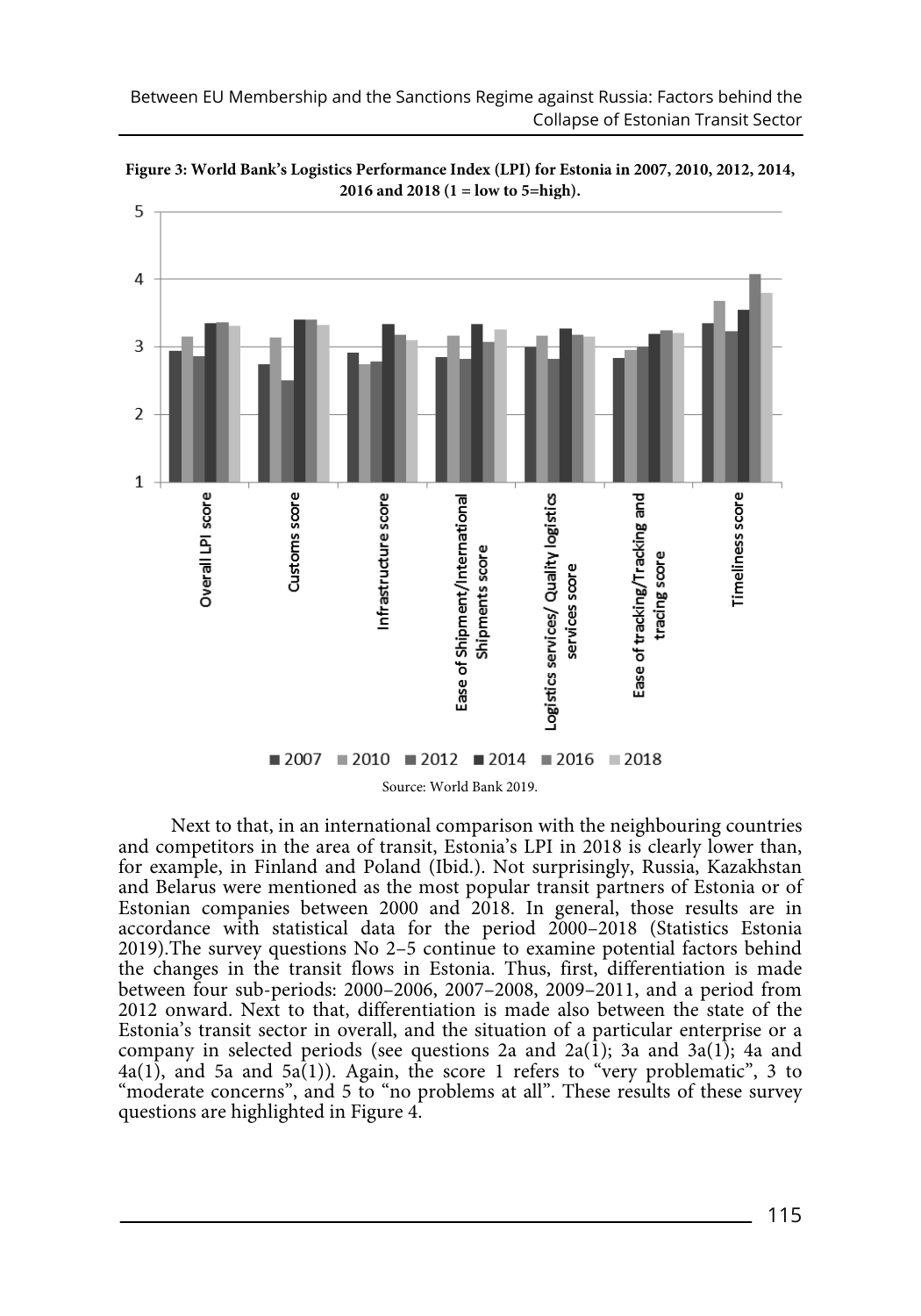

 $2007$  2010 2012 2014 2016 2018 Source: World Bank 2019. Next to that, in an international comparison with the neighbouring countries and competitors in the area of transit, Estonia's LPI in 2018 is clearly lower than, for example, in Finland and Poland (Ibid.). Not surprisingly, Russia, Kazakhstan and Belarus were mentioned as the most popular transit partners of Estonia or of Estonian companies between 2000 and 2018. In general, those results are in accordance with statistical data for the period 2000–2018 (Statistics Estonia 2019).The survey questions No 2–5 continue to examine potential factors behind the changes in the transit flows in Estonia. Thus, first, differentiation is made between four sub-periods: 2000–2006, 2007–2008, 2009–2011, and a period from 2012 onward. Next to that, differentiation is made also between the state of the Estonia's transit sector in overall, and the situation of a particular enterprise or a company in selected periods (see questions 2a and  $2a(1)$ ; 3a and  $3a(1)$ ; 4a and  $4a(1)$ , and 5a and 5a(1)). Again, the score 1 refers to "very problematic", 3 to "moderate concerns", and 5 to "no problems at all". These results of these survey questions are highlighted in Figure 4.

**Figure 3: World Bank's Logistics Performance Index (LPI) for Estonia in 2007, 2010, 2012, 2014, 2016 and 2018 (1 = low to 5=high).**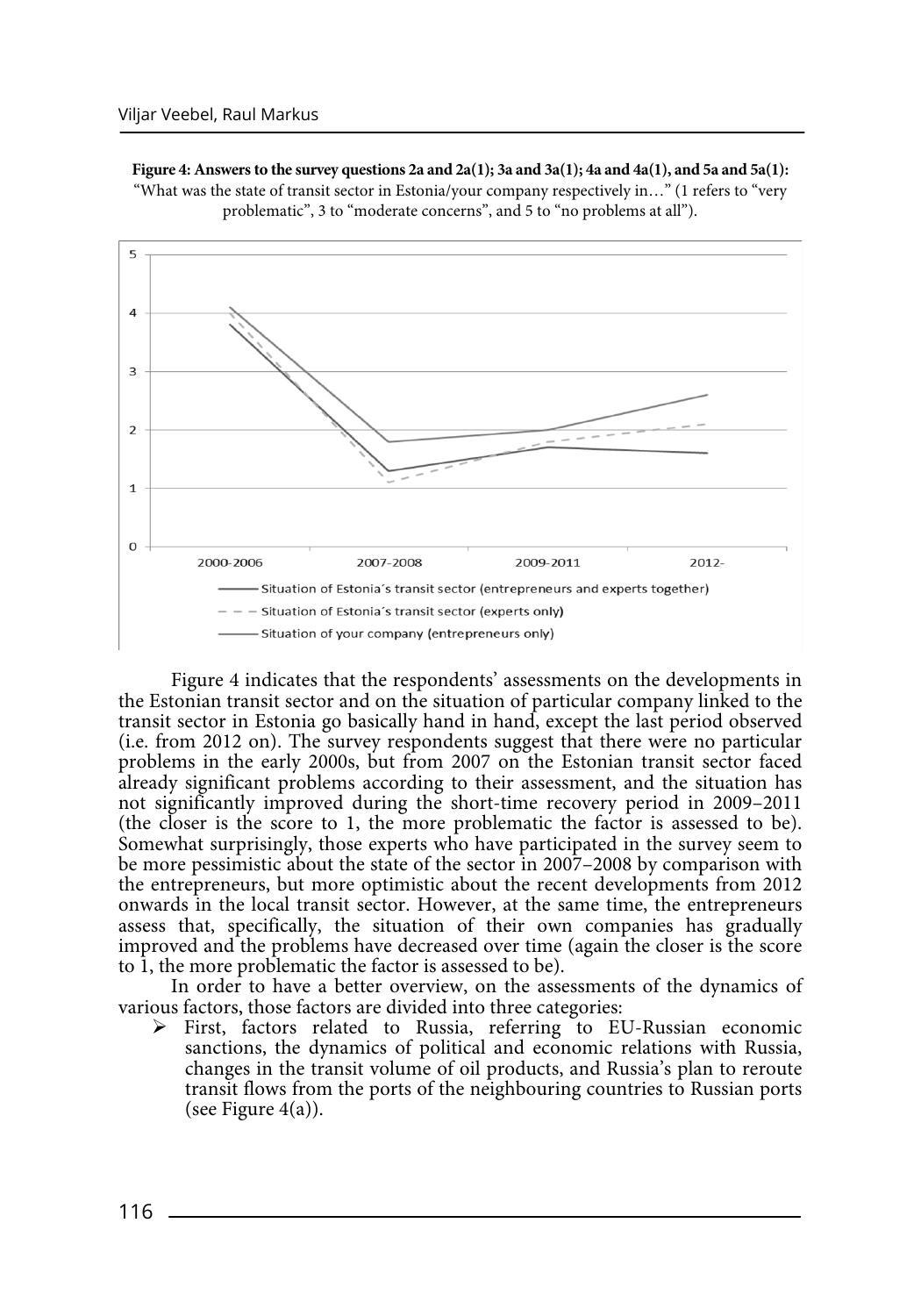**Figure 4: Answers to the survey questions 2a and 2a(1); 3a and 3a(1); 4a and 4a(1), and 5a and 5a(1):** "What was the state of transit sector in Estonia/your company respectively in…" (1 refers to "very problematic", 3 to "moderate concerns", and 5 to "no problems at all").



Figure 4 indicates that the respondents' assessments on the developments in the Estonian transit sector and on the situation of particular company linked to the transit sector in Estonia go basically hand in hand, except the last period observed (i.e. from 2012 on). The survey respondents suggest that there were no particular problems in the early 2000s, but from 2007 on the Estonian transit sector faced already significant problems according to their assessment, and the situation has not significantly improved during the short-time recovery period in 2009–2011 (the closer is the score to 1, the more problematic the factor is assessed to be). Somewhat surprisingly, those experts who have participated in the survey seem to be more pessimistic about the state of the sector in 2007–2008 by comparison with the entrepreneurs, but more optimistic about the recent developments from 2012 onwards in the local transit sector. However, at the same time, the entrepreneurs assess that, specifically, the situation of their own companies has gradually improved and the problems have decreased over time (again the closer is the score to 1, the more problematic the factor is assessed to be).

In order to have a better overview, on the assessments of the dynamics of various factors, those factors are divided into three categories:

¾ First, factors related to Russia, referring to EU-Russian economic sanctions, the dynamics of political and economic relations with Russia, changes in the transit volume of oil products, and Russia's plan to reroute transit flows from the ports of the neighbouring countries to Russian ports (see Figure  $4(a)$ ).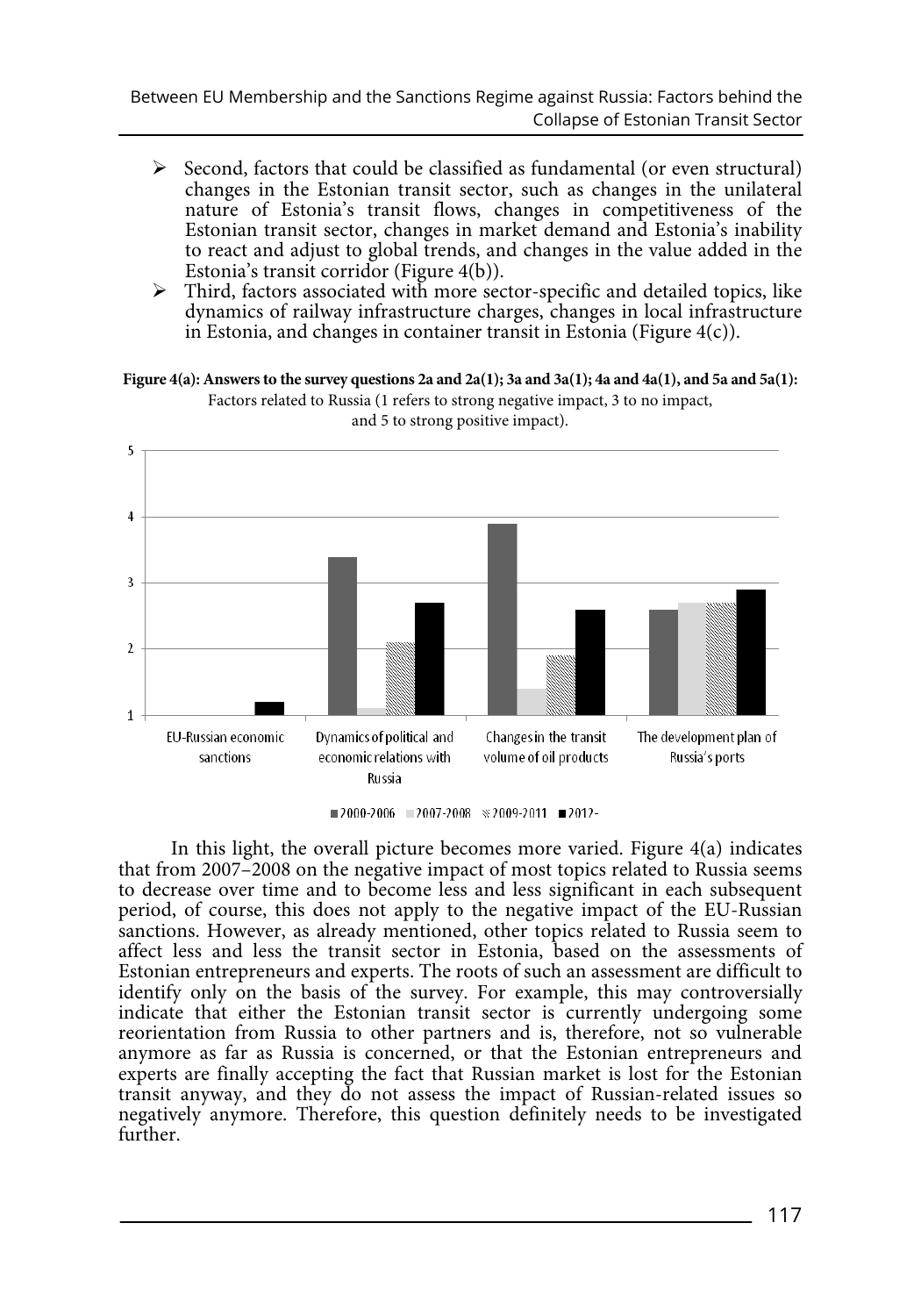- $\triangleright$  Second, factors that could be classified as fundamental (or even structural) changes in the Estonian transit sector, such as changes in the unilateral nature of Estonia's transit flows, changes in competitiveness of the Estonian transit sector, changes in market demand and Estonia's inability to react and adjust to global trends, and changes in the value added in the Estonia's transit corridor (Figure 4(b)).
- $\triangleright$  Third, factors associated with more sector-specific and detailed topics, like dynamics of railway infrastructure charges, changes in local infrastructure in Estonia, and changes in container transit in Estonia (Figure  $4(c)$ ).

**Figure 4(a): Answers to the survey questions 2a and 2a(1); 3a and 3a(1); 4a and 4a(1), and 5a and 5a(1):**



Factors related to Russia (1 refers to strong negative impact, 3 to no impact, and 5 to strong positive impact).

In this light, the overall picture becomes more varied. Figure 4(a) indicates that from 2007–2008 on the negative impact of most topics related to Russia seems to decrease over time and to become less and less significant in each subsequent period, of course, this does not apply to the negative impact of the EU-Russian sanctions. However, as already mentioned, other topics related to Russia seem to affect less and less the transit sector in Estonia, based on the assessments of Estonian entrepreneurs and experts. The roots of such an assessment are difficult to identify only on the basis of the survey. For example, this may controversially indicate that either the Estonian transit sector is currently undergoing some reorientation from Russia to other partners and is, therefore, not so vulnerable anymore as far as Russia is concerned, or that the Estonian entrepreneurs and experts are finally accepting the fact that Russian market is lost for the Estonian transit anyway, and they do not assess the impact of Russian-related issues so negatively anymore. Therefore, this question definitely needs to be investigated further.

 $12000-2006$   $12007-2008$   $\approx$  2009-2011  $12012-$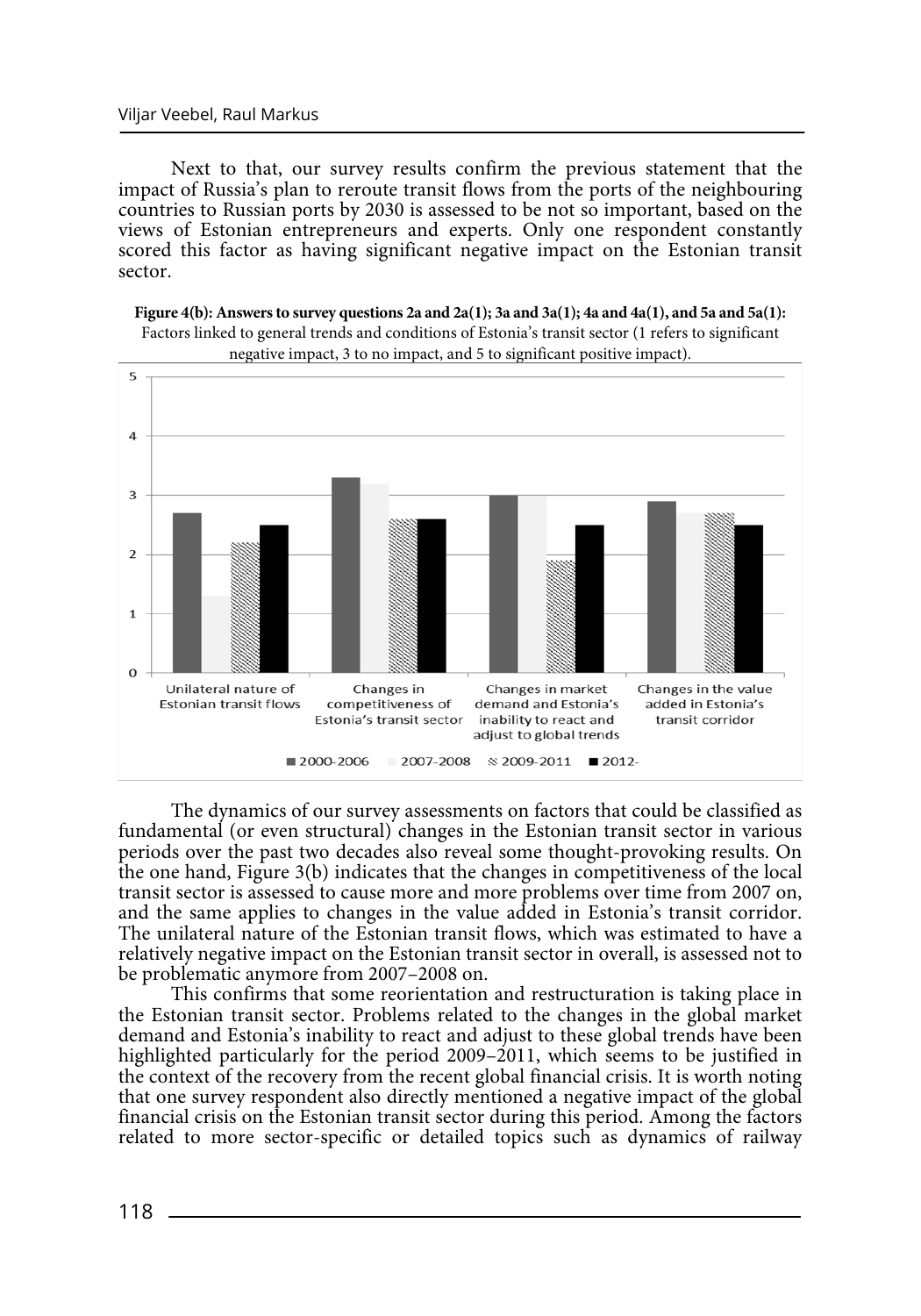Next to that, our survey results confirm the previous statement that the impact of Russia's plan to reroute transit flows from the ports of the neighbouring countries to Russian ports by 2030 is assessed to be not so important, based on the views of Estonian entrepreneurs and experts. Only one respondent constantly scored this factor as having significant negative impact on the Estonian transit sector.





The dynamics of our survey assessments on factors that could be classified as fundamental (or even structural) changes in the Estonian transit sector in various periods over the past two decades also reveal some thought-provoking results. On the one hand, Figure 3(b) indicates that the changes in competitiveness of the local transit sector is assessed to cause more and more problems over time from 2007 on, and the same applies to changes in the value added in Estonia's transit corridor. The unilateral nature of the Estonian transit flows, which was estimated to have a relatively negative impact on the Estonian transit sector in overall, is assessed not to be problematic anymore from 2007–2008 on.

This confirms that some reorientation and restructuration is taking place in the Estonian transit sector. Problems related to the changes in the global market demand and Estonia's inability to react and adjust to these global trends have been highlighted particularly for the period 2009–2011, which seems to be justified in the context of the recovery from the recent global financial crisis. It is worth noting that one survey respondent also directly mentioned a negative impact of the global financial crisis on the Estonian transit sector during this period. Among the factors related to more sector-specific or detailed topics such as dynamics of railway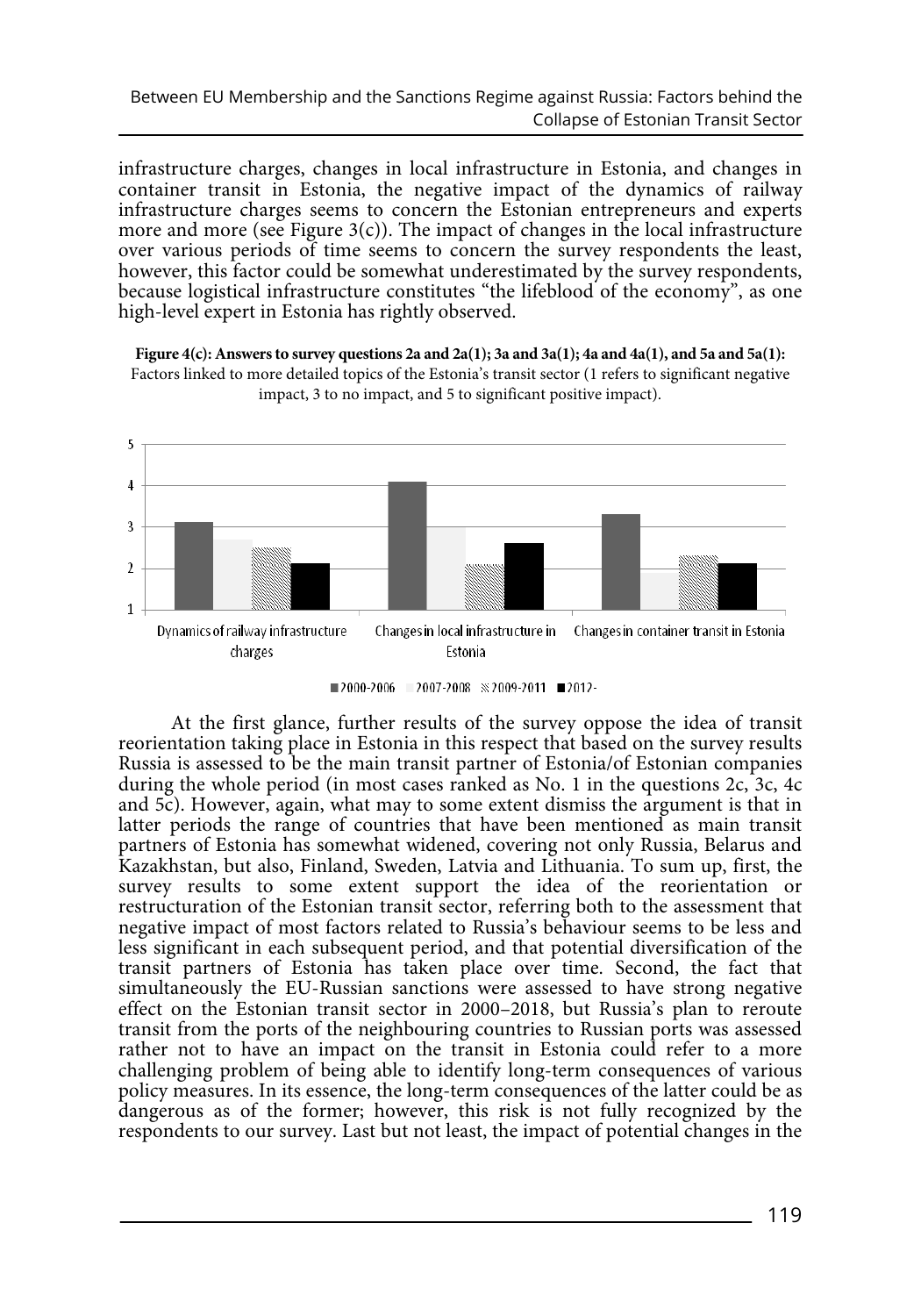infrastructure charges, changes in local infrastructure in Estonia, and changes in container transit in Estonia, the negative impact of the dynamics of railway infrastructure charges seems to concern the Estonian entrepreneurs and experts more and more (see Figure  $3(c)$ ). The impact of changes in the local infrastructure over various periods of time seems to concern the survey respondents the least, however, this factor could be somewhat underestimated by the survey respondents, because logistical infrastructure constitutes "the lifeblood of the economy", as one high-level expert in Estonia has rightly observed.





 $12000-2006$   $12007-2008$   $\&$  2009-2011  $12012-$ 

At the first glance, further results of the survey oppose the idea of transit reorientation taking place in Estonia in this respect that based on the survey results Russia is assessed to be the main transit partner of Estonia/of Estonian companies during the whole period (in most cases ranked as No. 1 in the questions 2c, 3c, 4c and 5c). However, again, what may to some extent dismiss the argument is that in latter periods the range of countries that have been mentioned as main transit partners of Estonia has somewhat widened, covering not only Russia, Belarus and Kazakhstan, but also, Finland, Sweden, Latvia and Lithuania. To sum up, first, the survey results to some extent support the idea of the reorientation or restructuration of the Estonian transit sector, referring both to the assessment that negative impact of most factors related to Russia's behaviour seems to be less and less significant in each subsequent period, and that potential diversification of the transit partners of Estonia has taken place over time. Second, the fact that simultaneously the EU-Russian sanctions were assessed to have strong negative effect on the Estonian transit sector in 2000–2018, but Russia's plan to reroute transit from the ports of the neighbouring countries to Russian ports was assessed rather not to have an impact on the transit in Estonia could refer to a more challenging problem of being able to identify long-term consequences of various policy measures. In its essence, the long-term consequences of the latter could be as dangerous as of the former; however, this risk is not fully recognized by the respondents to our survey. Last but not least, the impact of potential changes in the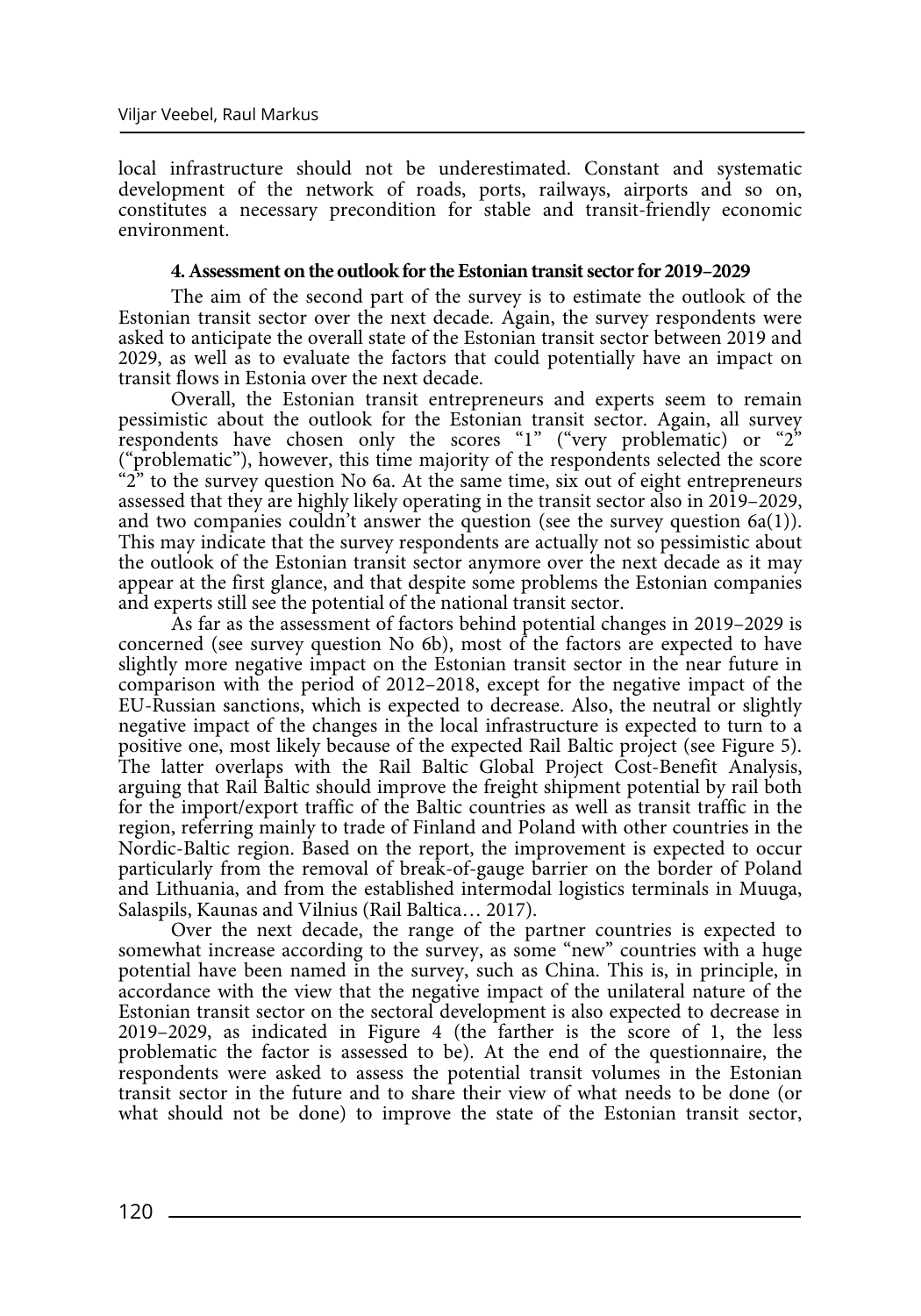local infrastructure should not be underestimated. Constant and systematic development of the network of roads, ports, railways, airports and so on, constitutes a necessary precondition for stable and transit-friendly economic environment.

### **4. Assessment on the outlook for the Estonian transit sector for 2019–2029**

The aim of the second part of the survey is to estimate the outlook of the Estonian transit sector over the next decade. Again, the survey respondents were asked to anticipate the overall state of the Estonian transit sector between 2019 and 2029, as well as to evaluate the factors that could potentially have an impact on transit flows in Estonia over the next decade.

Overall, the Estonian transit entrepreneurs and experts seem to remain pessimistic about the outlook for the Estonian transit sector. Again, all survey respondents have chosen only the scores "1" ("very problematic) or "2" ("problematic"), however, this time majority of the respondents selected the score "2" to the survey question No 6a. At the same time, six out of eight entrepreneurs assessed that they are highly likely operating in the transit sector also in 2019–2029, and two companies couldn't answer the question (see the survey question 6a(1)). This may indicate that the survey respondents are actually not so pessimistic about the outlook of the Estonian transit sector anymore over the next decade as it may appear at the first glance, and that despite some problems the Estonian companies and experts still see the potential of the national transit sector.

As far as the assessment of factors behind potential changes in 2019–2029 is concerned (see survey question No 6b), most of the factors are expected to have slightly more negative impact on the Estonian transit sector in the near future in comparison with the period of 2012–2018, except for the negative impact of the EU-Russian sanctions, which is expected to decrease. Also, the neutral or slightly negative impact of the changes in the local infrastructure is expected to turn to a positive one, most likely because of the expected Rail Baltic project (see Figure 5). The latter overlaps with the Rail Baltic Global Project Cost-Benefit Analysis, arguing that Rail Baltic should improve the freight shipment potential by rail both for the import/export traffic of the Baltic countries as well as transit traffic in the region, referring mainly to trade of Finland and Poland with other countries in the Nordic-Baltic region. Based on the report, the improvement is expected to occur particularly from the removal of break-of-gauge barrier on the border of Poland and Lithuania, and from the established intermodal logistics terminals in Muuga, Salaspils, Kaunas and Vilnius (Rail Baltica… 2017).

Over the next decade, the range of the partner countries is expected to somewhat increase according to the survey, as some "new" countries with a huge potential have been named in the survey, such as China. This is, in principle, in accordance with the view that the negative impact of the unilateral nature of the Estonian transit sector on the sectoral development is also expected to decrease in 2019–2029, as indicated in Figure 4 (the farther is the score of 1, the less problematic the factor is assessed to be). At the end of the questionnaire, the respondents were asked to assess the potential transit volumes in the Estonian transit sector in the future and to share their view of what needs to be done (or what should not be done) to improve the state of the Estonian transit sector,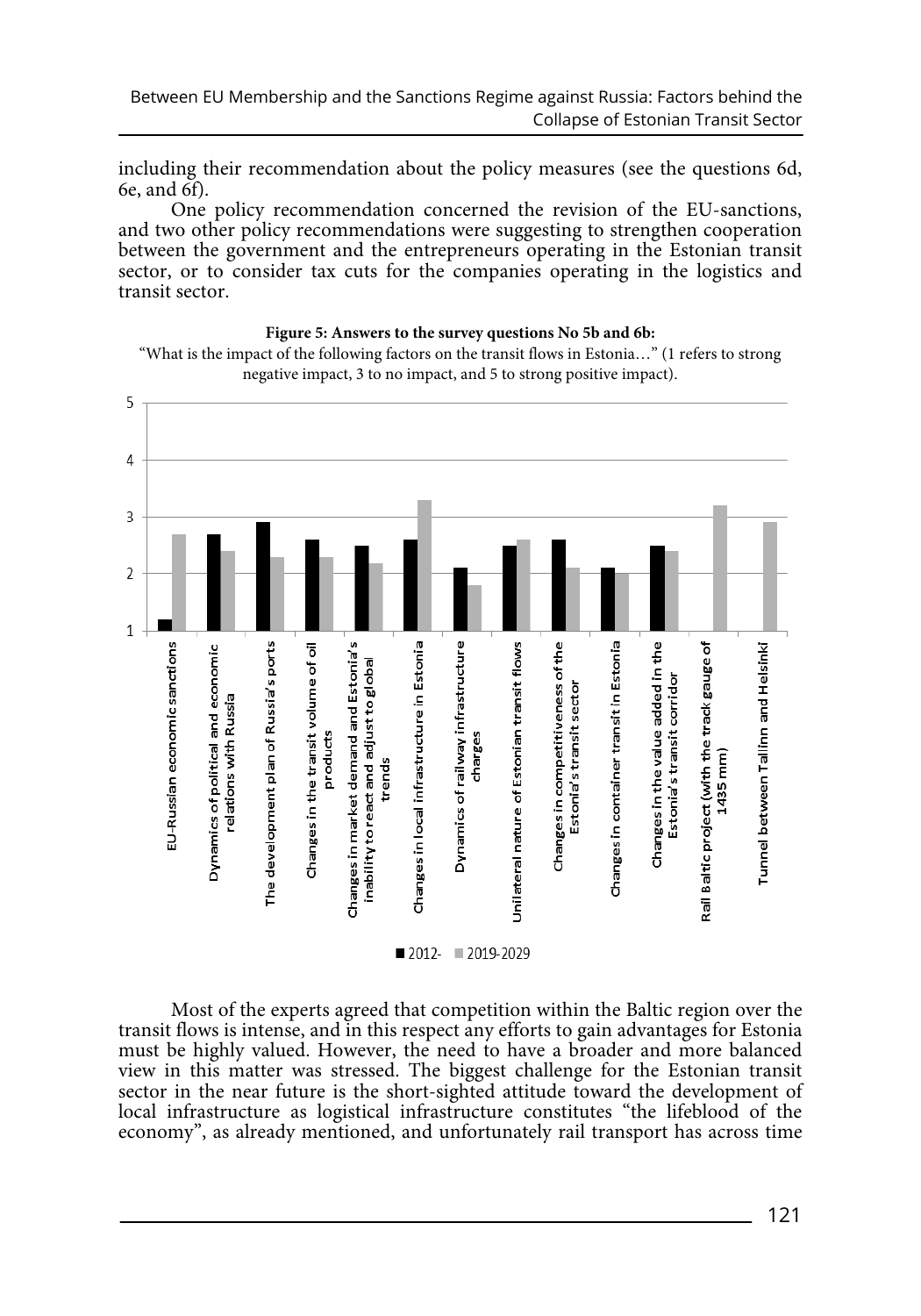including their recommendation about the policy measures (see the questions 6d, 6e, and 6f).

One policy recommendation concerned the revision of the EU-sanctions, and two other policy recommendations were suggesting to strengthen cooperation between the government and the entrepreneurs operating in the Estonian transit sector, or to consider tax cuts for the companies operating in the logistics and transit sector.



#### **Figure 5: Answers to the survey questions No 5b and 6b:**

"What is the impact of the following factors on the transit flows in Estonia…" (1 refers to strong negative impact, 3 to no impact, and 5 to strong positive impact).

Most of the experts agreed that competition within the Baltic region over the transit flows is intense, and in this respect any efforts to gain advantages for Estonia must be highly valued. However, the need to have a broader and more balanced view in this matter was stressed. The biggest challenge for the Estonian transit sector in the near future is the short-sighted attitude toward the development of local infrastructure as logistical infrastructure constitutes "the lifeblood of the economy", as already mentioned, and unfortunately rail transport has across time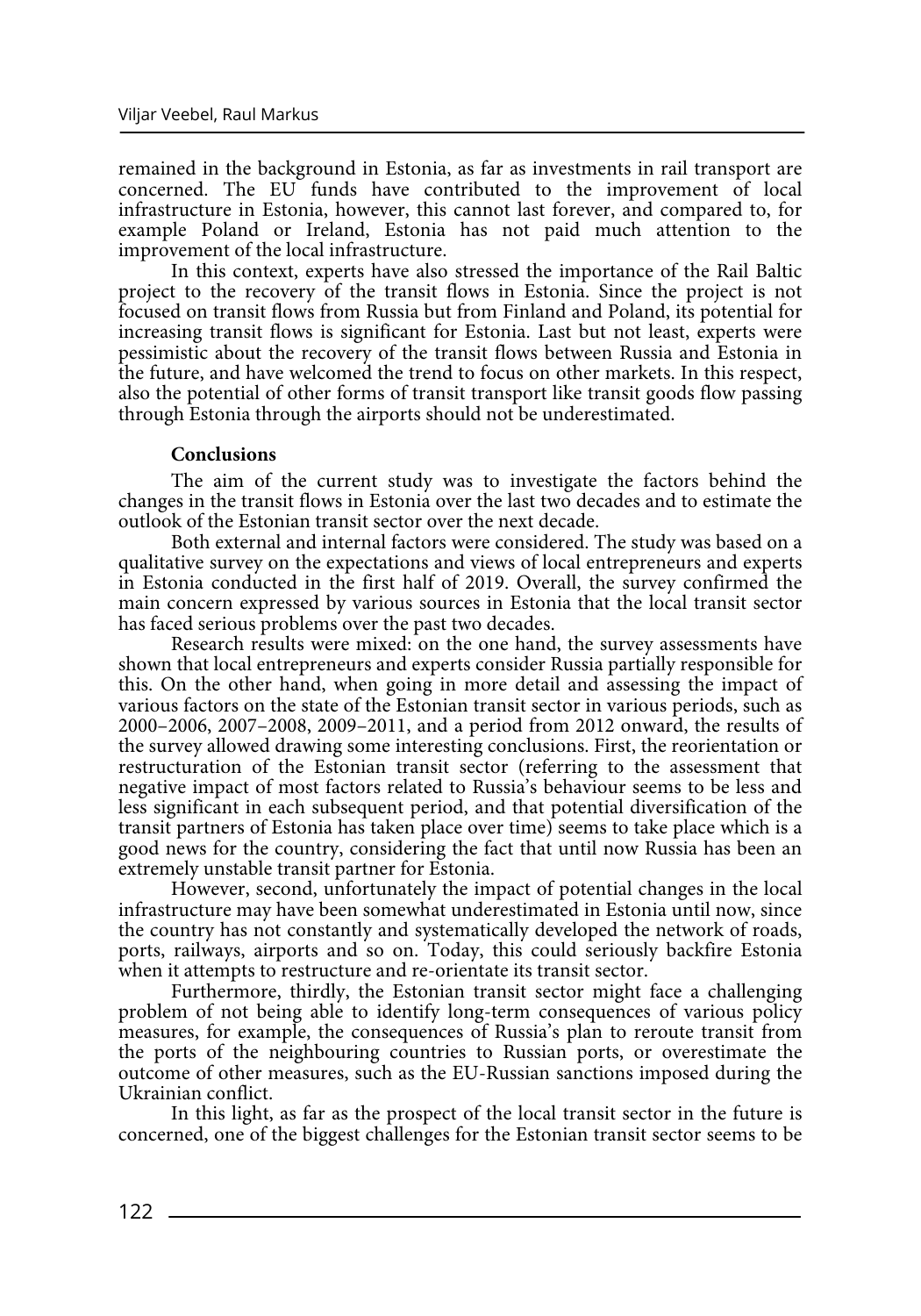remained in the background in Estonia, as far as investments in rail transport are concerned. The EU funds have contributed to the improvement of local infrastructure in Estonia, however, this cannot last forever, and compared to, for example Poland or Ireland, Estonia has not paid much attention to the improvement of the local infrastructure.

In this context, experts have also stressed the importance of the Rail Baltic project to the recovery of the transit flows in Estonia. Since the project is not focused on transit flows from Russia but from Finland and Poland, its potential for increasing transit flows is significant for Estonia. Last but not least, experts were pessimistic about the recovery of the transit flows between Russia and Estonia in the future, and have welcomed the trend to focus on other markets. In this respect, also the potential of other forms of transit transport like transit goods flow passing through Estonia through the airports should not be underestimated.

## **Conclusions**

The aim of the current study was to investigate the factors behind the changes in the transit flows in Estonia over the last two decades and to estimate the outlook of the Estonian transit sector over the next decade.

Both external and internal factors were considered. The study was based on a qualitative survey on the expectations and views of local entrepreneurs and experts in Estonia conducted in the first half of 2019. Overall, the survey confirmed the main concern expressed by various sources in Estonia that the local transit sector has faced serious problems over the past two decades.

Research results were mixed: on the one hand, the survey assessments have shown that local entrepreneurs and experts consider Russia partially responsible for this. On the other hand, when going in more detail and assessing the impact of various factors on the state of the Estonian transit sector in various periods, such as 2000–2006, 2007–2008, 2009–2011, and a period from 2012 onward, the results of the survey allowed drawing some interesting conclusions. First, the reorientation or restructuration of the Estonian transit sector (referring to the assessment that negative impact of most factors related to Russia's behaviour seems to be less and less significant in each subsequent period, and that potential diversification of the transit partners of Estonia has taken place over time) seems to take place which is a good news for the country, considering the fact that until now Russia has been an extremely unstable transit partner for Estonia.

However, second, unfortunately the impact of potential changes in the local infrastructure may have been somewhat underestimated in Estonia until now, since the country has not constantly and systematically developed the network of roads, ports, railways, airports and so on. Today, this could seriously backfire Estonia when it attempts to restructure and re-orientate its transit sector.

Furthermore, thirdly, the Estonian transit sector might face a challenging problem of not being able to identify long-term consequences of various policy measures, for example, the consequences of Russia's plan to reroute transit from the ports of the neighbouring countries to Russian ports, or overestimate the outcome of other measures, such as the EU-Russian sanctions imposed during the Ukrainian conflict.

In this light, as far as the prospect of the local transit sector in the future is concerned, one of the biggest challenges for the Estonian transit sector seems to be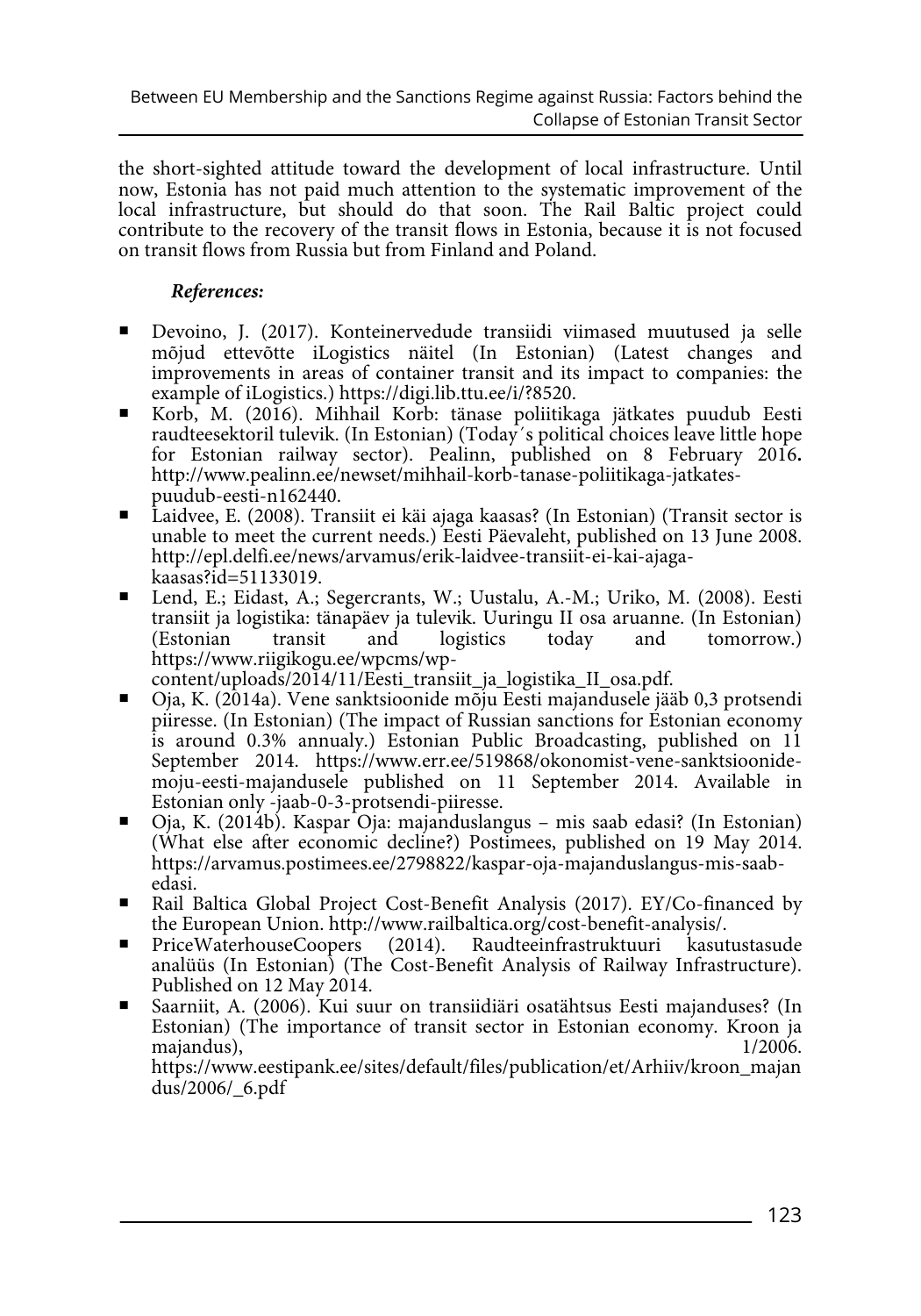the short-sighted attitude toward the development of local infrastructure. Until now, Estonia has not paid much attention to the systematic improvement of the local infrastructure, but should do that soon. The Rail Baltic project could contribute to the recovery of the transit flows in Estonia, because it is not focused on transit flows from Russia but from Finland and Poland.

# *References:*

- Devoino, J. (2017). Konteinervedude transiidi viimased muutused ja selle mõjud ettevõtte iLogistics näitel (In Estonian) (Latest changes and improvements in areas of container transit and its impact to companies: the example of iLogistics.) https://digi.lib.ttu.ee/i/?8520.
- Korb, M. (2016). Mihhail Korb: tänase poliitikaga jätkates puudub Eesti raudteesektoril tulevik. (In Estonian) (Today´s political choices leave little hope for Estonian railway sector). Pealinn, published on 8 February 2016**.** http://www.pealinn.ee/newset/mihhail-korb-tanase-poliitikaga-jatkates-
- Laidvee, E. (2008). Transiit ei käi ajaga kaasas? (In Estonian) (Transit sector is unable to meet the current needs.) Eesti Päevaleht, published on 13 June 2008. http://epl.delfi.ee/news/arvamus/erik-laidvee-transiit-ei-kai-ajagakaasas?id=51133019.
- Lend, E.; Eidast, A.; Segercrants, W.; Uustalu, A.-M.; Uriko, M. (2008). Eesti transiit ja logistika: tänapäev ja tulevik. Uuringu II osa aruanne. (In Estonian) tomorrow.) https://www.riigikogu.ee/wpcms/wp-

content/uploads/2014/11/Eesti\_transiit\_ja\_logistika\_II\_osa.pdf.

- Oja, K. (2014a). Vene sanktsioonide mõju Eesti majandusele jääb 0,3 protsendi piiresse. (In Estonian) (The impact of Russian sanctions for Estonian economy is around 0.3% annualy.) Estonian Public Broadcasting, published on 11 September 2014. https://www.err.ee/519868/okonomist-vene-sanktsioonidemoju-eesti-majandusele published on 11 September 2014. Available in Estonian only -jaab-0-3-protsendi-piiresse.
- Oja, K. (2014b). Kaspar Oja: majanduslangus mis saab edasi? (In Estonian) (What else after economic decline?) Postimees, published on 19 May 2014. https://arvamus.postimees.ee/2798822/kaspar-oja-majanduslangus-mis-saabedasi.
- Rail Baltica Global Project Cost-Benefit Analysis (2017). EY/Co-financed by
- the European Union. http://www.railbaltica.org/cost-benefit-analysis/.<br>PriceWaterhouseCoopers (2014). Raudteeinfrastruktuuri kasut PriceWaterhouseCoopers (2014). Raudteeinfrastruktuuri kasutustasude analüüs (In Estonian) (The Cost-Benefit Analysis of Railway Infrastructure). Published on 12 May 2014.
- Saarniit, A. (2006). Kui suur on transiidiäri osatähtsus Eesti majanduses? (In Estonian) (The importance of transit sector in Estonian economy. Kroon ja majandus), https://www.eestipank.ee/sites/default/files/publication/et/Arhiiv/kroon\_majan

dus/2006/\_6.pdf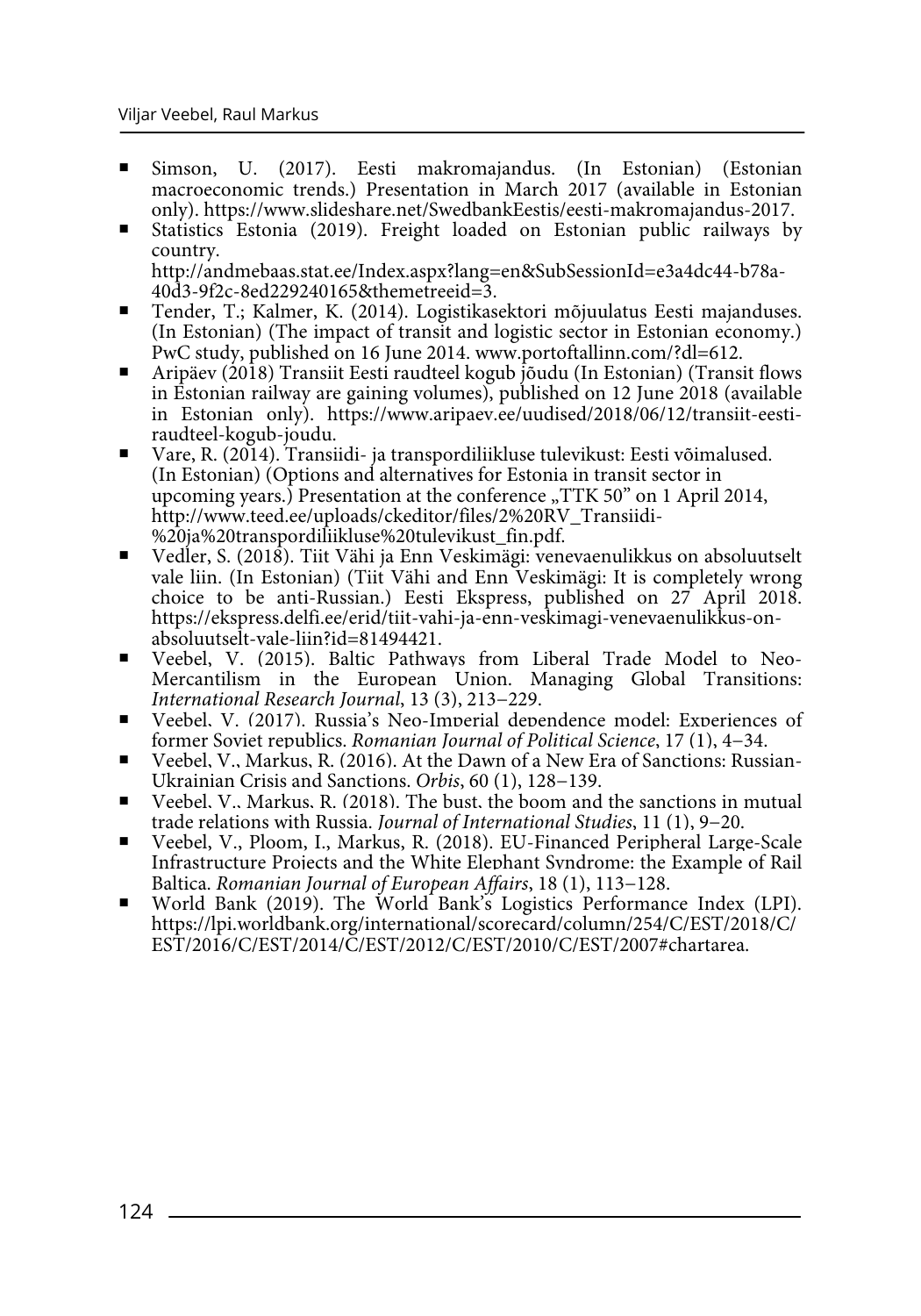- Simson, U. (2017). Eesti makromajandus. (In Estonian) (Estonian macroeconomic trends.) Presentation in March 2017 (available in Estonian only). https://www.slideshare.net/SwedbankEestis/eesti-makromajandus-2017.
- Statistics Estonia (2019). Freight loaded on Estonian public railways by country. http://andmebaas.stat.ee/Index.aspx?lang=en&SubSessionId=e3a4dc44-b78a-
- Tender, T.; Kalmer, K. (2014). Logistikasektori mõjuulatus Eesti majanduses. (In Estonian) (The impact of transit and logistic sector in Estonian economy.) PwC study, published on 16 June 2014. www.portoftallinn.com/?dl=612.
- Aripäev (2018) Transiit Eesti raudteel kogub jõudu (In Estonian) (Transit flows in Estonian railway are gaining volumes), published on 12 June 2018 (available in Estonian only). https://www.aripaev.ee/uudised/2018/06/12/transiit-eestiraudteel-kogub-joudu.
- Vare, R. (2014). Transiidi- ja transpordiliikluse tulevikust: Eesti võimalused. (In Estonian) (Options and alternatives for Estonia in transit sector in upcoming years.) Presentation at the conference  $TTK 50"$  on 1 April 2014, http://www.teed.ee/uploads/ckeditor/files/2%20RV\_Transiidi- %20ja%20transpordiliikluse%20tulevikust\_fin.pdf.
- Vedler, S. (2018). Tiit Vähi ja Enn Veskimägi: venevaenulikkus on absoluutselt vale liin. (In Estonian) (Tiit Vähi and Enn Veskimägi: It is completely wrong choice to be anti-Russian.) Eesti Ekspress, published on 27 April 2018. https://ekspress.delfi.ee/erid/tiit-vahi-ja-enn-veskimagi-venevaenulikkus-onabsoluutselt-vale-liin?id=81494421.
- Veebel, V. (2015). Baltic Pathways from Liberal Trade Model to Neo-Mercantilism in the European Union. Managing Global Transitions: *International Research Journal*, 13 (3), 213−229.
- Veebel, V. (2017). Russia's Neo-Imperial dependence model: Experiences of former Soviet republics. Romanian Journal of Political Science, 17 (1), 4–34.
- former Soviet republics. *Romanian Journal of Political Science*, 17 (1), 4−34. Veebel, V., Markus, R. (2016). At the Dawn of a New Era of Sanctions: Russian-Ukrainian Crisis and Sanctions. *Orbis*, 60 (1), 128−139.
- Veebel, V., Markus, R. (2018). The bust, the boom and the sanctions in mutual trade relations with Russia. *Journal of International Studies*, 11 (1), 9−20.
- Veebel, V., Ploom, I., Markus, R. (2018). EU-Financed Peripheral Large-Scale Infrastructure Projects and the White Elephant Syndrome: the Example of Rail Baltica. *Romanian Journal of European Affairs*, 18 (1), 113−128.
- World Bank (2019). The World Bank's Logistics Performance Index (LPI). https://lpi.worldbank.org/international/scorecard/column/254/C/EST/2018/C/ EST/2016/C/EST/2014/C/EST/2012/C/EST/2010/C/EST/2007#chartarea.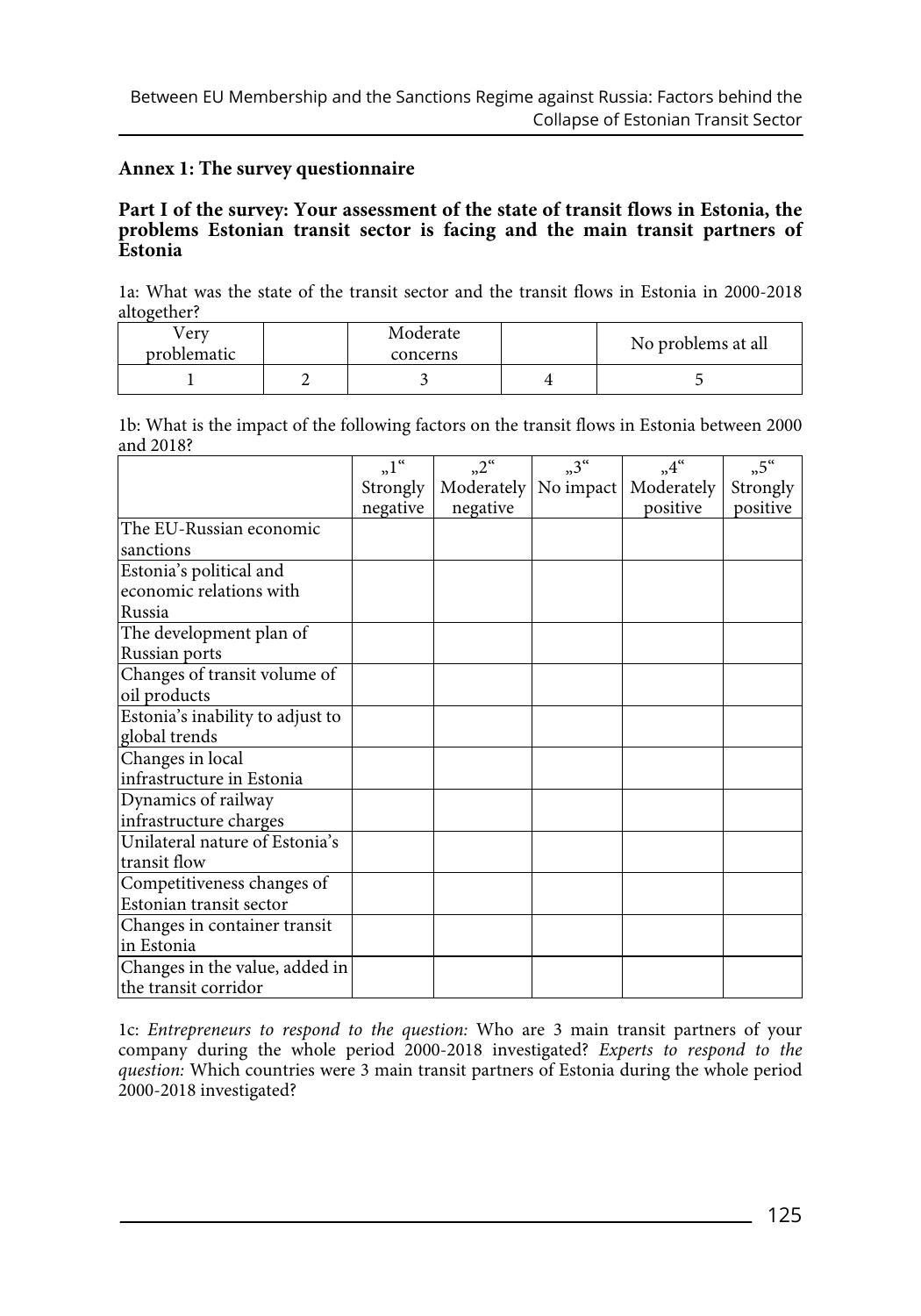# **Annex 1: The survey questionnaire**

# **Part I of the survey: Your assessment of the state of transit flows in Estonia, the problems Estonian transit sector is facing and the main transit partners of Estonia**

1a: What was the state of the transit sector and the transit flows in Estonia in 2000-2018 altogether?

| erv         | Moderate | No problems at all |
|-------------|----------|--------------------|
| problematic | concerns |                    |
|             |          |                    |

1b: What is the impact of the following factors on the transit flows in Estonia between 2000 and 2018?

|                                  | $n^{\alpha}$ | $n^2$      | $n^3$     | $,4^{\circ}$ | $n^{5}$  |
|----------------------------------|--------------|------------|-----------|--------------|----------|
|                                  | Strongly     | Moderately | No impact | Moderately   | Strongly |
|                                  | negative     | negative   |           | positive     | positive |
| The EU-Russian economic          |              |            |           |              |          |
| sanctions                        |              |            |           |              |          |
| Estonia's political and          |              |            |           |              |          |
| economic relations with          |              |            |           |              |          |
| Russia                           |              |            |           |              |          |
| The development plan of          |              |            |           |              |          |
| Russian ports                    |              |            |           |              |          |
| Changes of transit volume of     |              |            |           |              |          |
| oil products                     |              |            |           |              |          |
| Estonia's inability to adjust to |              |            |           |              |          |
| global trends                    |              |            |           |              |          |
| Changes in local                 |              |            |           |              |          |
| infrastructure in Estonia        |              |            |           |              |          |
| Dynamics of railway              |              |            |           |              |          |
| infrastructure charges           |              |            |           |              |          |
| Unilateral nature of Estonia's   |              |            |           |              |          |
| transit flow                     |              |            |           |              |          |
| Competitiveness changes of       |              |            |           |              |          |
| Estonian transit sector          |              |            |           |              |          |
| Changes in container transit     |              |            |           |              |          |
| in Estonia                       |              |            |           |              |          |
| Changes in the value, added in   |              |            |           |              |          |
| the transit corridor             |              |            |           |              |          |

1c: *Entrepreneurs to respond to the question:* Who are 3 main transit partners of your company during the whole period 2000-2018 investigated? *Experts to respond to the question:* Which countries were 3 main transit partners of Estonia during the whole period 2000-2018 investigated?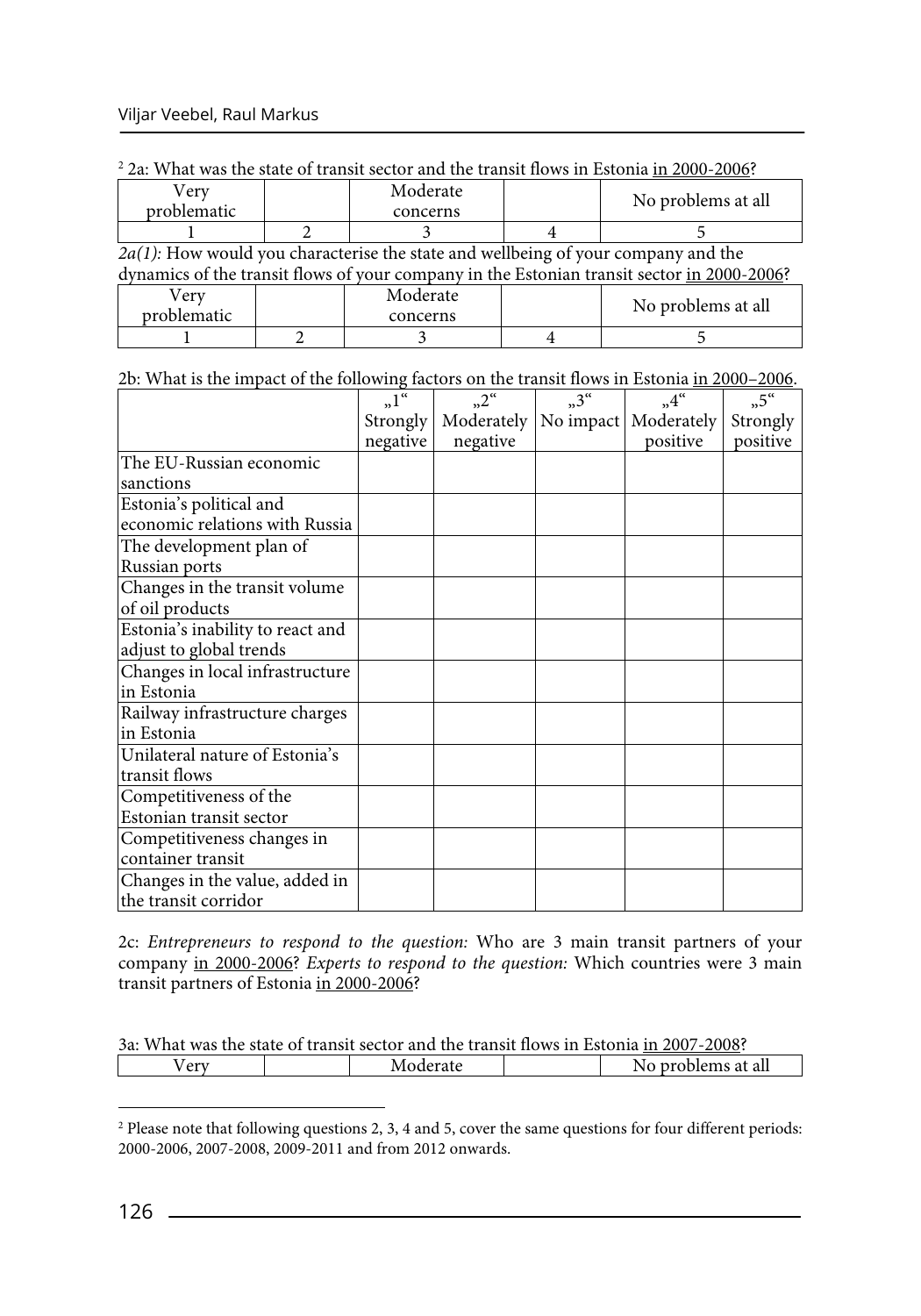| Very<br>problematic | Moderate<br>concerns                                                                 | No problems at all                                                                         |
|---------------------|--------------------------------------------------------------------------------------|--------------------------------------------------------------------------------------------|
|                     |                                                                                      |                                                                                            |
|                     | $2a(1)$ : How would you characterise the state and wellbeing of your company and the |                                                                                            |
|                     |                                                                                      | dynamics of the transit flows of your company in the Estonian transit sector in 2000-2006? |
| Very                | Moderate                                                                             |                                                                                            |
| problematic         | concerns                                                                             | No problems at all                                                                         |
|                     |                                                                                      |                                                                                            |

2b: What is the impact of the following factors on the transit flows in Estonia in 2000–2006.

|                                  | $n^{\alpha}$ | $n^2$      | $n^{3^{\alpha}}$ | $,4^{\alpha}$ | $n^{5}$  |
|----------------------------------|--------------|------------|------------------|---------------|----------|
|                                  | Strongly     | Moderately | No impact        | Moderately    | Strongly |
|                                  | negative     | negative   |                  | positive      | positive |
| The EU-Russian economic          |              |            |                  |               |          |
| sanctions                        |              |            |                  |               |          |
| Estonia's political and          |              |            |                  |               |          |
| economic relations with Russia   |              |            |                  |               |          |
| The development plan of          |              |            |                  |               |          |
| Russian ports                    |              |            |                  |               |          |
| Changes in the transit volume    |              |            |                  |               |          |
| of oil products                  |              |            |                  |               |          |
| Estonia's inability to react and |              |            |                  |               |          |
| adjust to global trends          |              |            |                  |               |          |
| Changes in local infrastructure  |              |            |                  |               |          |
| in Estonia                       |              |            |                  |               |          |
| Railway infrastructure charges   |              |            |                  |               |          |
| in Estonia                       |              |            |                  |               |          |
| Unilateral nature of Estonia's   |              |            |                  |               |          |
| transit flows                    |              |            |                  |               |          |
| Competitiveness of the           |              |            |                  |               |          |
| Estonian transit sector          |              |            |                  |               |          |
| Competitiveness changes in       |              |            |                  |               |          |
| container transit                |              |            |                  |               |          |
| Changes in the value, added in   |              |            |                  |               |          |
| the transit corridor             |              |            |                  |               |          |

2c: *Entrepreneurs to respond to the question:* Who are 3 main transit partners of your company in 2000-2006? *Experts to respond to the question:* Which countries were 3 main transit partners of Estonia in 2000-2006?

| 3a: What was the state of transit sector and the transit flows in Estonia in 2007-2008? |  |          |  |                    |  |
|-----------------------------------------------------------------------------------------|--|----------|--|--------------------|--|
| Verv                                                                                    |  | Moderate |  | No problems at all |  |

<sup>&</sup>lt;sup>2</sup> Please note that following questions 2, 3, 4 and 5, cover the same questions for four different periods: 2000-2006, 2007-2008, 2009-2011 and from 2012 onwards.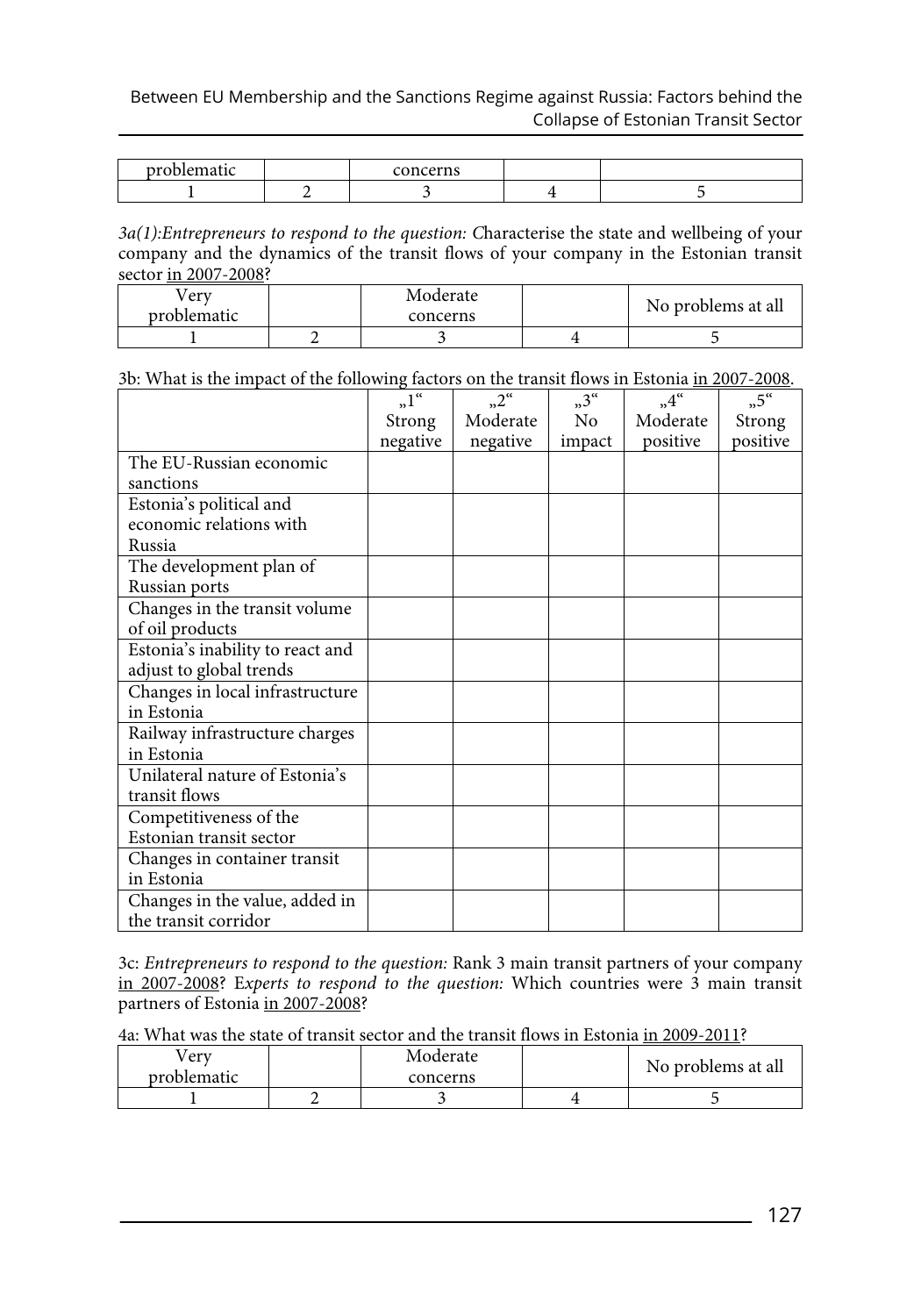Between EU Membership and the Sanctions Regime against Russia: Factors behind the Collapse of Estonian Transit Sector

| maxb<br>$1 - 2 - 2$<br>$\sim$ $\sim$ | concerns |  |
|--------------------------------------|----------|--|
|                                      |          |  |

*3a(1):Entrepreneurs to respond to the question: C*haracterise the state and wellbeing of your company and the dynamics of the transit flows of your company in the Estonian transit sector in 2007-2008?

| 'erv<br>problematic | Moderate<br>concerns | No problems at all |
|---------------------|----------------------|--------------------|
|                     |                      |                    |

3b: What is the impact of the following factors on the transit flows in Estonia in 2007-2008.

|                                  | $n^{\alpha}$ | $n^{\alpha}$ | $n^3$  | $,4^{\alpha}$ | $,5$ "   |
|----------------------------------|--------------|--------------|--------|---------------|----------|
|                                  | Strong       | Moderate     | No.    | Moderate      | Strong   |
|                                  | negative     | negative     | impact | positive      | positive |
| The EU-Russian economic          |              |              |        |               |          |
| sanctions                        |              |              |        |               |          |
| Estonia's political and          |              |              |        |               |          |
| economic relations with          |              |              |        |               |          |
| Russia                           |              |              |        |               |          |
| The development plan of          |              |              |        |               |          |
| Russian ports                    |              |              |        |               |          |
| Changes in the transit volume    |              |              |        |               |          |
| of oil products                  |              |              |        |               |          |
| Estonia's inability to react and |              |              |        |               |          |
| adjust to global trends          |              |              |        |               |          |
| Changes in local infrastructure  |              |              |        |               |          |
| in Estonia                       |              |              |        |               |          |
| Railway infrastructure charges   |              |              |        |               |          |
| in Estonia                       |              |              |        |               |          |
| Unilateral nature of Estonia's   |              |              |        |               |          |
| transit flows                    |              |              |        |               |          |
| Competitiveness of the           |              |              |        |               |          |
| Estonian transit sector          |              |              |        |               |          |
| Changes in container transit     |              |              |        |               |          |
| in Estonia                       |              |              |        |               |          |
| Changes in the value, added in   |              |              |        |               |          |
| the transit corridor             |              |              |        |               |          |

3c: *Entrepreneurs to respond to the question:* Rank 3 main transit partners of your company in 2007-2008? E*xperts to respond to the question:* Which countries were 3 main transit partners of Estonia in 2007-2008?

4a: What was the state of transit sector and the transit flows in Estonia in 2009-2011?

| erv         | Moderate | No problems at all |
|-------------|----------|--------------------|
| problematic | concerns |                    |
|             |          |                    |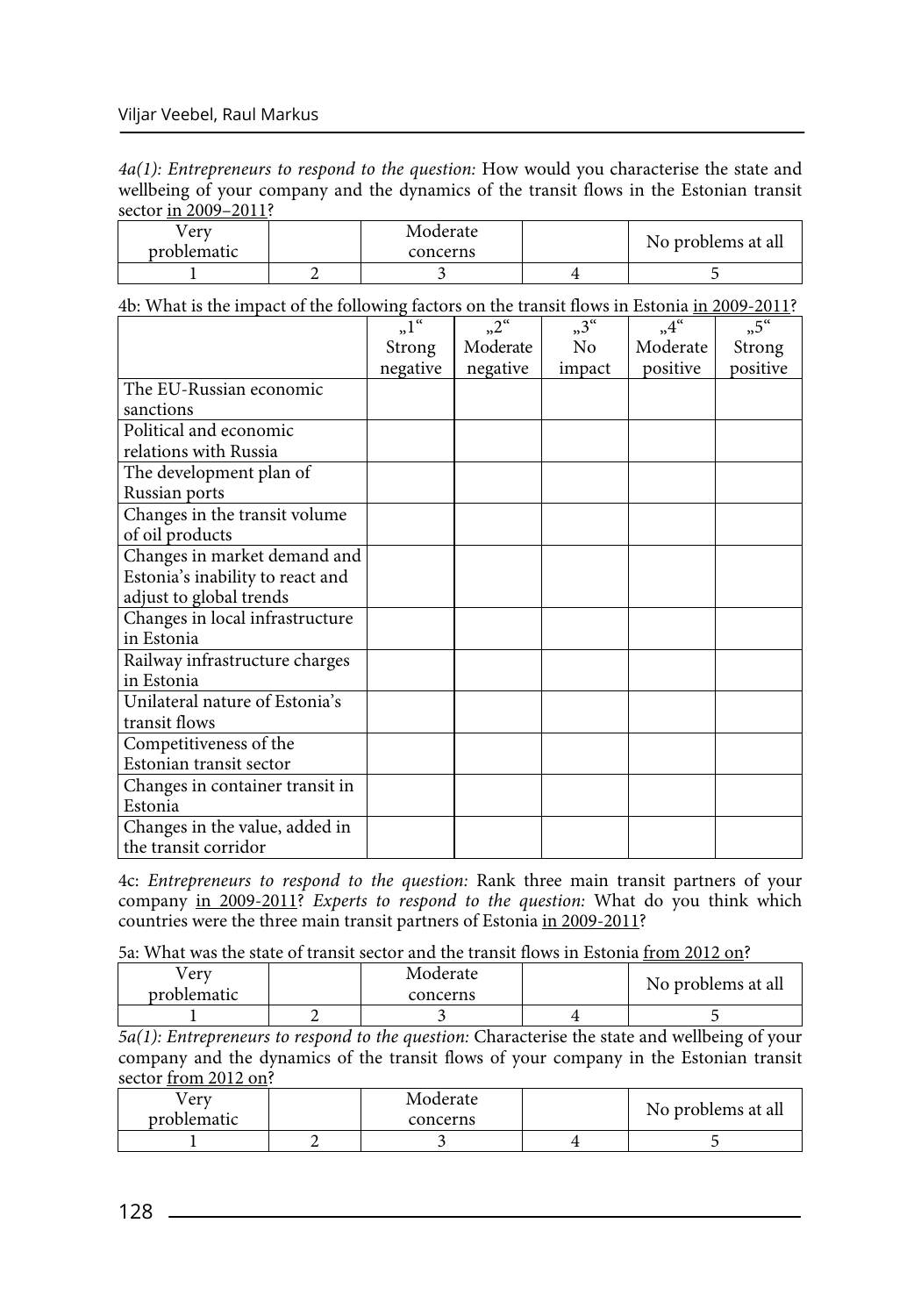*4a(1): Entrepreneurs to respond to the question:* How would you characterise the state and wellbeing of your company and the dynamics of the transit flows in the Estonian transit sector in 2009–2011?

| erv         | Moderate | No problems at all |
|-------------|----------|--------------------|
| problematic | concerns |                    |
|             |          |                    |

4b: What is the impact of the following factors on the transit flows in Estonia in 2009-2011?

|                                  | $n^{\alpha}$ | $n^2$    | $n^{3^{\alpha}}$ | $,4^{\alpha}$ | $,5$ "   |
|----------------------------------|--------------|----------|------------------|---------------|----------|
|                                  | Strong       | Moderate | No               | Moderate      | Strong   |
|                                  | negative     | negative | impact           | positive      | positive |
| The EU-Russian economic          |              |          |                  |               |          |
| sanctions                        |              |          |                  |               |          |
| Political and economic           |              |          |                  |               |          |
| relations with Russia            |              |          |                  |               |          |
| The development plan of          |              |          |                  |               |          |
| Russian ports                    |              |          |                  |               |          |
| Changes in the transit volume    |              |          |                  |               |          |
| of oil products                  |              |          |                  |               |          |
| Changes in market demand and     |              |          |                  |               |          |
| Estonia's inability to react and |              |          |                  |               |          |
| adjust to global trends          |              |          |                  |               |          |
| Changes in local infrastructure  |              |          |                  |               |          |
| in Estonia                       |              |          |                  |               |          |
| Railway infrastructure charges   |              |          |                  |               |          |
| in Estonia                       |              |          |                  |               |          |
| Unilateral nature of Estonia's   |              |          |                  |               |          |
| transit flows                    |              |          |                  |               |          |
| Competitiveness of the           |              |          |                  |               |          |
| Estonian transit sector          |              |          |                  |               |          |
| Changes in container transit in  |              |          |                  |               |          |
| Estonia                          |              |          |                  |               |          |
| Changes in the value, added in   |              |          |                  |               |          |
| the transit corridor             |              |          |                  |               |          |

4c: *Entrepreneurs to respond to the question:* Rank three main transit partners of your company in 2009-2011? *Experts to respond to the question:* What do you think which countries were the three main transit partners of Estonia in 2009-2011?

5a: What was the state of transit sector and the transit flows in Estonia from 2012 on?

| erv<br>problematic | Moderate<br>concerns | No problems at all |  |
|--------------------|----------------------|--------------------|--|
|                    |                      |                    |  |

*5a(1): Entrepreneurs to respond to the question:* Characterise the state and wellbeing of your company and the dynamics of the transit flows of your company in the Estonian transit sector from 2012 on?

| erv<br>problematic | Moderate<br>concerns | No problems at all |
|--------------------|----------------------|--------------------|
|                    |                      |                    |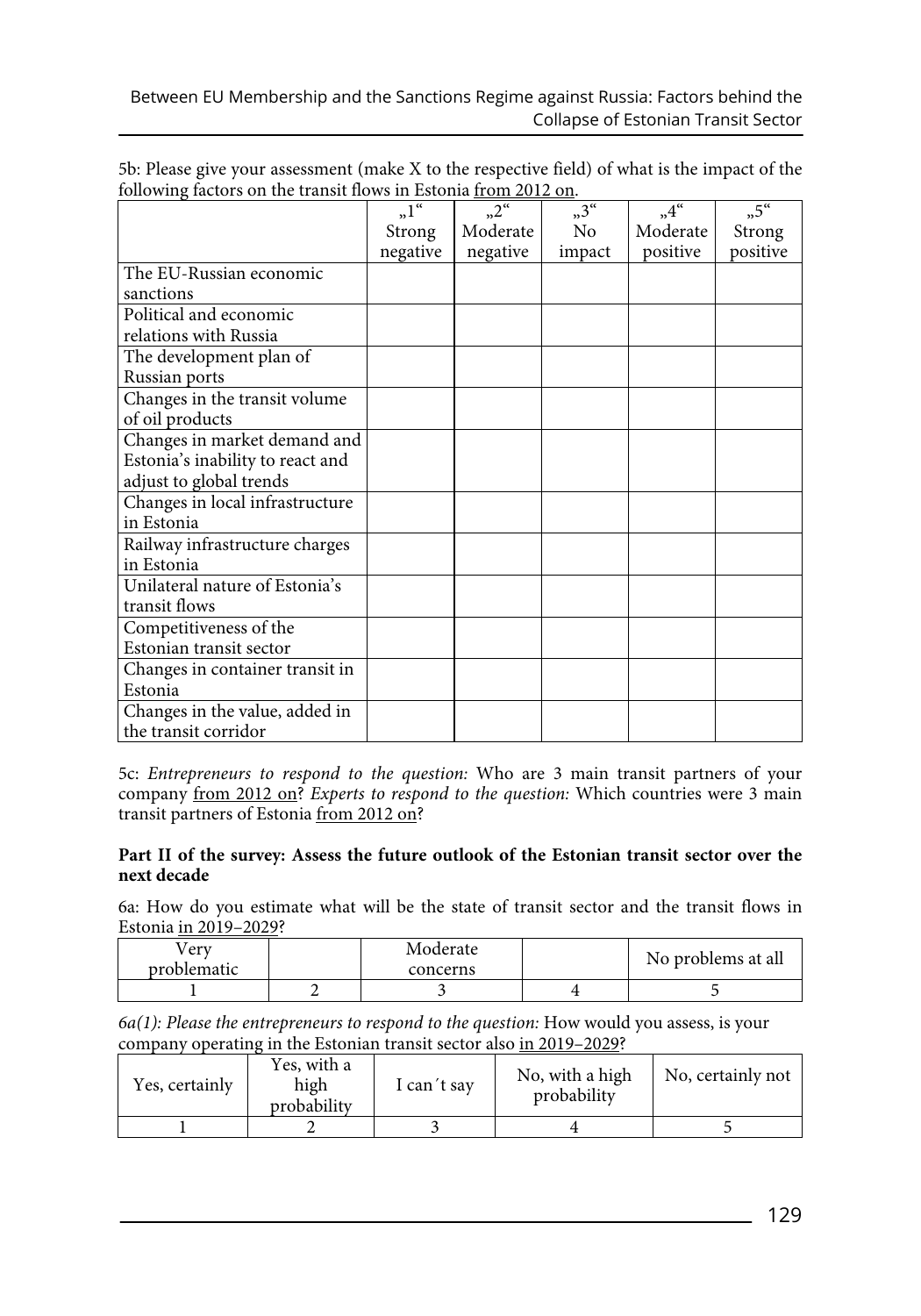|                                  | $n^{\alpha}$ | $n^2$    | $n^{3}$ | $,4^{\circ}$ | $n^{5}$  |
|----------------------------------|--------------|----------|---------|--------------|----------|
|                                  | Strong       | Moderate | No      | Moderate     | Strong   |
|                                  | negative     | negative | impact  | positive     | positive |
| The EU-Russian economic          |              |          |         |              |          |
| sanctions                        |              |          |         |              |          |
| Political and economic           |              |          |         |              |          |
| relations with Russia            |              |          |         |              |          |
| The development plan of          |              |          |         |              |          |
| Russian ports                    |              |          |         |              |          |
| Changes in the transit volume    |              |          |         |              |          |
| of oil products                  |              |          |         |              |          |
| Changes in market demand and     |              |          |         |              |          |
| Estonia's inability to react and |              |          |         |              |          |
| adjust to global trends          |              |          |         |              |          |
| Changes in local infrastructure  |              |          |         |              |          |
| in Estonia                       |              |          |         |              |          |
| Railway infrastructure charges   |              |          |         |              |          |
| in Estonia                       |              |          |         |              |          |
| Unilateral nature of Estonia's   |              |          |         |              |          |
| transit flows                    |              |          |         |              |          |
| Competitiveness of the           |              |          |         |              |          |
| Estonian transit sector          |              |          |         |              |          |
| Changes in container transit in  |              |          |         |              |          |
| Estonia                          |              |          |         |              |          |
| Changes in the value, added in   |              |          |         |              |          |
| the transit corridor             |              |          |         |              |          |

5b: Please give your assessment (make X to the respective field) of what is the impact of the following factors on the transit flows in Estonia from 2012 on.

5c: *Entrepreneurs to respond to the question:* Who are 3 main transit partners of your company from 2012 on? *Experts to respond to the question:* Which countries were 3 main transit partners of Estonia from 2012 on?

## **Part II of the survey: Assess the future outlook of the Estonian transit sector over the next decade**

6a: How do you estimate what will be the state of transit sector and the transit flows in Estonia in 2019–2029?

| erv<br>problematic | Moderate<br>concerns | No problems at all |
|--------------------|----------------------|--------------------|
|                    |                      |                    |

*6a(1): Please the entrepreneurs to respond to the question:* How would you assess, is your company operating in the Estonian transit sector also in 2019–2029?

| Yes, certainly | Yes, with a<br>high<br>probability | I can't say | No, with a high<br>probability | No, certainly not |
|----------------|------------------------------------|-------------|--------------------------------|-------------------|
|                |                                    |             |                                |                   |